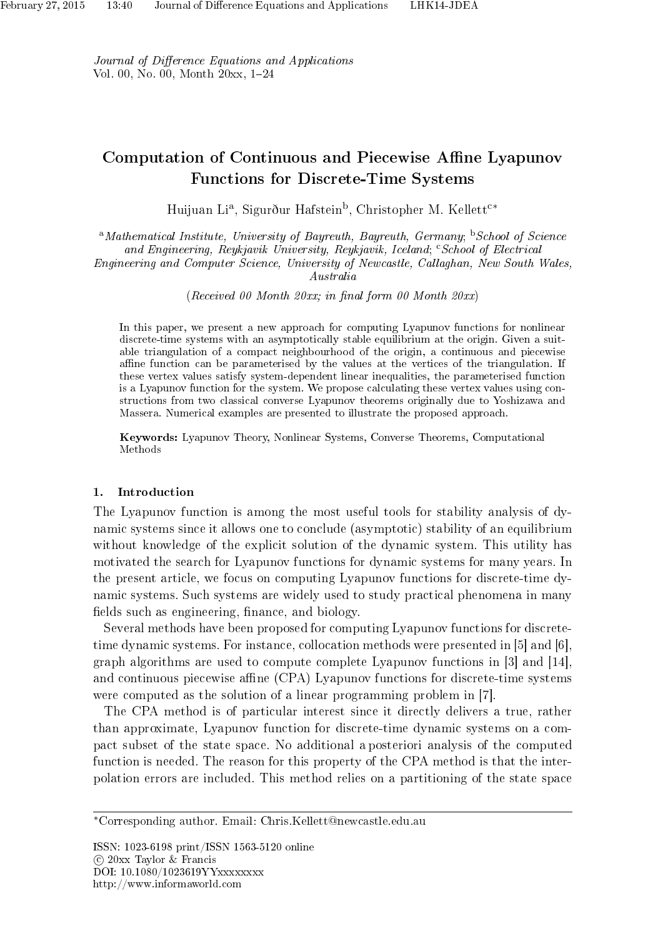Journal of Difference Equations and Applications Vol. 00, No. 00, Month 20xx, 1-24

# Computation of Continuous and Piecewise Affine Lyapunov Functions for Discrete-Time Systems

Huijuan Li<sup>a</sup>, Sigurður Hafstein<sup>b</sup>, Christopher M. Kellett<sup>c</sup>\*

 $^{\rm a}$ Mathematical Institute, University of Bayreuth, Bayreuth, Germany;  $^{\rm b}$ School of Science and Engineering, Reykjavik University, Reykjavik, Iceland; "School of Electrical Engineering and Computer Science, University of Newcastle, Callaghan, New South Wales,

Australia

 $(Received\ 00\ Month\ 20xx; \ in\ final\ form\ 00\ Month\ 20xx)$ 

In this paper, we present a new approach for computing Lyapunov functions for nonlinear discrete-time systems with an asymptotically stable equilibrium at the origin. Given a suitable triangulation of a compact neighbourhood of the origin, a continuous and piecewise affine function can be parameterised by the values at the vertices of the triangulation. If these vertex values satisfy system-dependent linear inequalities, the parameterised function is a Lyapunov function for the system. We propose calculating these vertex values using constructions from two classical converse Lyapunov theorems originally due to Yoshizawa and Massera. Numerical examples are presented to illustrate the proposed approach.

Keywords: Lyapunov Theory, Nonlinear Systems, Converse Theorems, Computational Methods

#### 1. Introduction

The Lyapunov function is among the most useful tools for stability analysis of dynamic systems since it allows one to conclude (asymptotic) stability of an equilibrium without knowledge of the explicit solution of the dynamic system. This utility has motivated the search for Lyapunov functions for dynamic systems for many years. In the present article, we focus on computing Lyapunov functions for discrete-time dynamic systems. Such systems are widely used to study practical phenomena in many fields such as engineering, finance, and biology.

Several methods have been proposed for computing Lyapunov functions for discretetime dynamic systems. For instance, collocation methods were presented in [5] and [6], graph algorithms are used to compute complete Lyapunov functions in [3] and [14], and continuous piecewise affine (CPA) Lyapunov functions for discrete-time systems were computed as the solution of a linear programming problem in [7].

The CPA method is of particular interest since it directly delivers a true, rather than approximate, Lyapunov function for discrete-time dynamic systems on a compact subset of the state space. No additional a posteriori analysis of the computed function is needed. The reason for this property of the CPA method is that the interpolation errors are included. This method relies on a partitioning of the state space

<sup>∗</sup>Corresponding author. Email: Chris.Kellett@newcastle.edu.au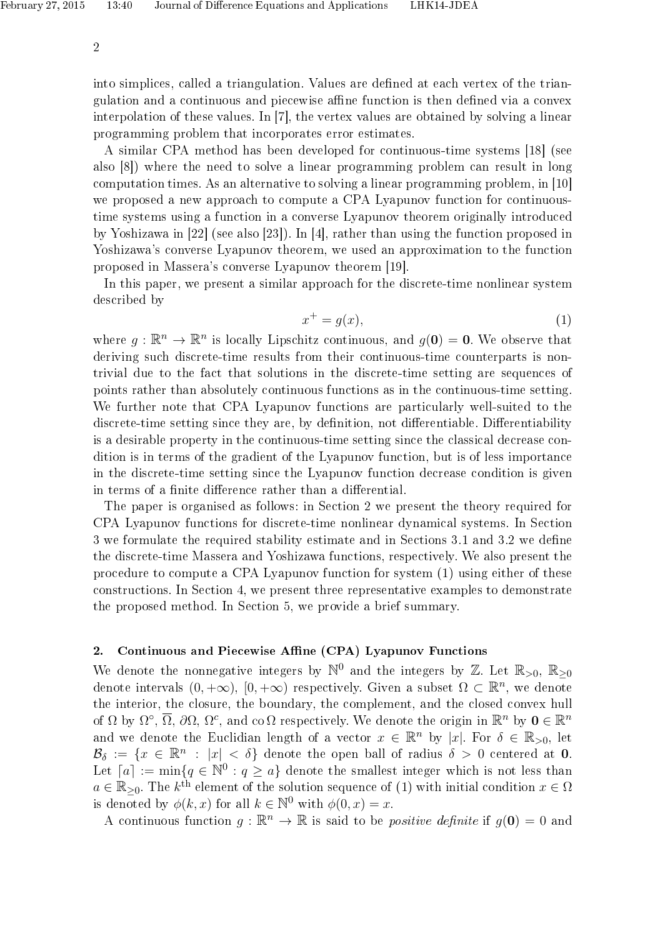into simplices, called a triangulation. Values are defined at each vertex of the triangulation and a continuous and piecewise affine function is then defined via a convex interpolation of these values. In [7], the vertex values are obtained by solving a linear programming problem that incorporates error estimates.

A similar CPA method has been developed for continuous-time systems [18] (see also [8]) where the need to solve a linear programming problem can result in long computation times. As an alternative to solving a linear programming problem, in [10] we proposed a new approach to compute a CPA Lyapunov function for continuoustime systems using a function in a converse Lyapunov theorem originally introduced by Yoshizawa in [22] (see also [23]). In [4], rather than using the function proposed in Yoshizawa's converse Lyapunov theorem, we used an approximation to the function proposed in Massera's converse Lyapunov theorem [19].

In this paper, we present a similar approach for the discrete-time nonlinear system described by

$$
x^+ = g(x),\tag{1}
$$

where  $g: \mathbb{R}^n \to \mathbb{R}^n$  is locally Lipschitz continuous, and  $g(\mathbf{0}) = \mathbf{0}$ . We observe that deriving such discrete-time results from their continuous-time counterparts is nontrivial due to the fact that solutions in the discrete-time setting are sequences of points rather than absolutely continuous functions as in the continuous-time setting. We further note that CPA Lyapunov functions are particularly well-suited to the discrete-time setting since they are, by definition, not differentiable. Differentiability is a desirable property in the continuous-time setting since the classical decrease condition is in terms of the gradient of the Lyapunov function, but is of less importance in the discrete-time setting since the Lyapunov function decrease condition is given in terms of a finite difference rather than a differential.

The paper is organised as follows: in Section 2 we present the theory required for CPA Lyapunov functions for discrete-time nonlinear dynamical systems. In Section 3 we formulate the required stability estimate and in Sections 3.1 and 3.2 we dene the discrete-time Massera and Yoshizawa functions, respectively. We also present the procedure to compute a CPA Lyapunov function for system (1) using either of these constructions. In Section 4, we present three representative examples to demonstrate the proposed method. In Section 5, we provide a brief summary.

## 2. Continuous and Piecewise Affine (CPA) Lyapunov Functions

We denote the nonnegative integers by  $\mathbb{N}^0$  and the integers by  $\mathbb{Z}$ . Let  $\mathbb{R}_{>0}$ ,  $\mathbb{R}_{\geq 0}$ denote intervals  $(0, +\infty)$ ,  $[0, +\infty)$  respectively. Given a subset  $\Omega \subset \mathbb{R}^n$ , we denote the interior, the closure, the boundary, the complement, and the closed convex hull of  $\Omega$  by  $\Omega^{\circ}$ ,  $\overline{\Omega}$ ,  $\partial\Omega$ ,  $\Omega^{c}$ , and co  $\Omega$  respectively. We denote the origin in  $\mathbb{R}^{n}$  by  $\mathbf{0} \in \mathbb{R}^{n}$ and we denote the Euclidian length of a vector  $x \in \mathbb{R}^n$  by |x|. For  $\delta \in \mathbb{R}_{>0}$ , let  $\mathcal{B}_{\delta} := \{x \in \mathbb{R}^n : |x| < \delta\}$  denote the open ball of radius  $\delta > 0$  centered at 0. Let  $[a] := min\{q \in \mathbb{N}^0 : q \ge a\}$  denote the smallest integer which is not less than  $a \in \mathbb{R}_{\geq 0}$ . The  $k^{\text{th}}$  element of the solution sequence of (1) with initial condition  $x \in \Omega$ is denoted by  $\phi(k, x)$  for all  $k \in \mathbb{N}^0$  with  $\phi(0, x) = x$ .

A continuous function  $g : \mathbb{R}^n \to \mathbb{R}$  is said to be *positive definite* if  $g(\mathbf{0}) = 0$  and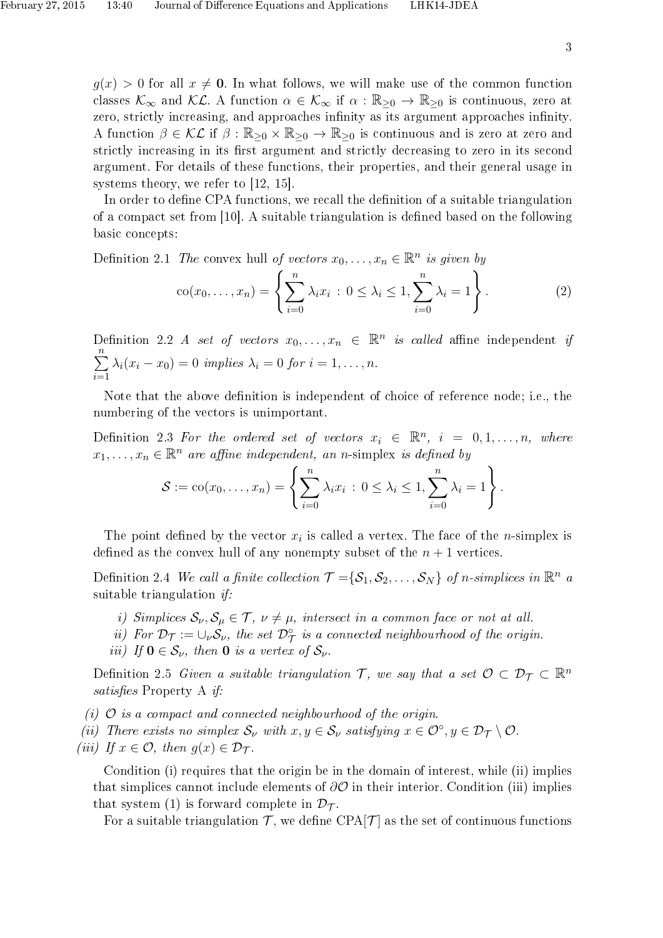$g(x) > 0$  for all  $x \neq 0$ . In what follows, we will make use of the common function classes  $\mathcal{K}_{\infty}$  and  $\mathcal{KL}$ . A function  $\alpha \in \mathcal{K}_{\infty}$  if  $\alpha : \mathbb{R}_{\geq 0} \to \mathbb{R}_{\geq 0}$  is continuous, zero at zero, strictly increasing, and approaches infinity as its argument approaches infinity. A function  $\beta \in \mathcal{KL}$  if  $\beta : \mathbb{R}_{\geq 0} \times \mathbb{R}_{\geq 0} \to \mathbb{R}_{\geq 0}$  is continuous and is zero at zero and strictly increasing in its first argument and strictly decreasing to zero in its second argument. For details of these functions, their properties, and their general usage in systems theory, we refer to [12, 15].

In order to define CPA functions, we recall the definition of a suitable triangulation of a compact set from  $[10]$ . A suitable triangulation is defined based on the following basic concepts:

Definition 2.1 The convex hull of vectors 
$$
x_0, ..., x_n \in \mathbb{R}^n
$$
 is given by  
\n
$$
\operatorname{co}(x_0, ..., x_n) = \left\{ \sum_{i=0}^n \lambda_i x_i : 0 \le \lambda_i \le 1, \sum_{i=0}^n \lambda_i = 1 \right\}.
$$
\n(2)

Definition 2.2 A set of vectors  $x_0, \ldots, x_n \in \mathbb{R}^n$  is called affine independent if  $\sum_{n=1}^{\infty}$  $\frac{i=1}{i}$  $\lambda_i(x_i - x_0) = 0$  implies  $\lambda_i = 0$  for  $i = 1, \ldots, n$ .

Note that the above definition is independent of choice of reference node; i.e., the numbering of the vectors is unimportant.

Definition 2.3 For the ordered set of vectors  $x_i \in \mathbb{R}^n$ ,  $i = 0, 1, ..., n$ , where  $x_1, \ldots, x_n \in \mathbb{R}^n$  are affine independent, an n-simplex is defined by

$$
S := \mathrm{co}(x_0, \ldots, x_n) = \left\{ \sum_{i=0}^n \lambda_i x_i \, : \, 0 \leq \lambda_i \leq 1, \sum_{i=0}^n \lambda_i = 1 \right\}.
$$

The point defined by the vector  $x_i$  is called a vertex. The face of the *n*-simplex is defined as the convex hull of any nonempty subset of the  $n+1$  vertices.

Definition 2.4 We call a finite collection  $\mathcal{T} = {\mathcal{S}_1, \mathcal{S}_2, \ldots, \mathcal{S}_N}$  of n-simplices in  $\mathbb{R}^n$  a suitable triangulation  $if:$ 

- i) Simplices  $\mathcal{S}_{\nu}, \mathcal{S}_{\mu} \in \mathcal{T}, \nu \neq \mu$ , intersect in a common face or not at all.
- ii) For  $\mathcal{D}_{\mathcal{T}} := \cup_{\nu} \mathcal{S}_{\nu}$ , the set  $\mathcal{D}_{\mathcal{T}}^{\circ}$  is a connected neighbourhood of the origin.
- iii) If  $0 \in S_{\nu}$ , then 0 is a vertex of  $S_{\nu}$ .

Definition 2.5 Given a suitable triangulation  $\mathcal{T}$ , we say that a set  $\mathcal{O} \subset \mathcal{D}_{\mathcal{T}} \subset \mathbb{R}^n$ satisfies Property A if:

- (i)  $\mathcal{O}$  is a compact and connected neighbourhood of the origin.
- (ii) There exists no simplex  $\mathcal{S}_{\nu}$  with  $x, y \in \mathcal{S}_{\nu}$  satisfying  $x \in \mathcal{O}^{\circ}, y \in \mathcal{D}_{\mathcal{T}} \setminus \mathcal{O}$ .
- (iii) If  $x \in \mathcal{O}$ , then  $g(x) \in \mathcal{D}_{\mathcal{T}}$ .

Condition (i) requires that the origin be in the domain of interest, while (ii) implies that simplices cannot include elements of  $\partial\mathcal{O}$  in their interior. Condition (iii) implies that system (1) is forward complete in  $\mathcal{D}_{\mathcal{T}}$ .

For a suitable triangulation  $\mathcal{T}$ , we define CPA $|\mathcal{T}|$  as the set of continuous functions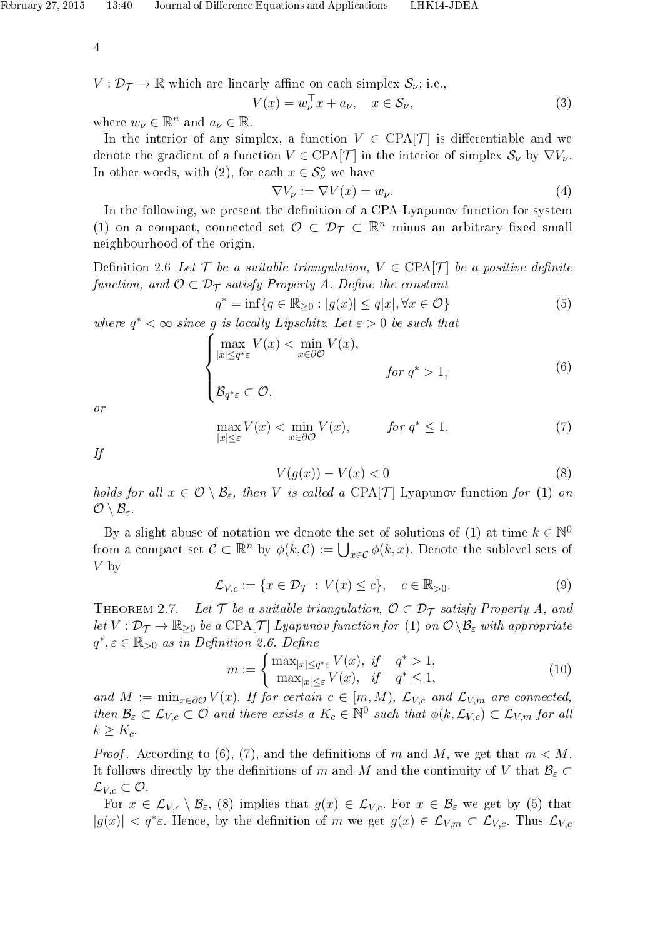$V: \mathcal{D}_{\mathcal{T}} \to \mathbb{R}$  which are linearly affine on each simplex  $\mathcal{S}_{\nu}$ ; i.e.,

$$
V(x) = w_{\nu}^{\top} x + a_{\nu}, \quad x \in \mathcal{S}_{\nu}, \tag{3}
$$

where  $w_{\nu} \in \mathbb{R}^n$  and  $a_{\nu} \in \mathbb{R}$ .

In the interior of any simplex, a function  $V \in \text{CPA}[\mathcal{T}]$  is differentiable and we denote the gradient of a function  $V \in \text{CPA}[\mathcal{T}]$  in the interior of simplex  $\mathcal{S}_{\nu}$  by  $\nabla V_{\nu}$ . In other words, with (2), for each  $x \in \mathcal{S}_{\nu}^{\circ}$  we have

$$
\nabla V_{\nu} := \nabla V(x) = w_{\nu}.
$$
\n(4)

In the following, we present the definition of a CPA Lyapunov function for system (1) on a compact, connected set  $\mathcal{O} \subset \mathcal{D}_{\mathcal{T}} \subset \mathbb{R}^n$  minus an arbitrary fixed small neighbourhood of the origin.

Definition 2.6 Let  $\mathcal T$  be a suitable triangulation,  $V \in \text{CPA}[\mathcal T]$  be a positive definite function, and  $\mathcal{O} \subset \mathcal{D}_{\mathcal{T}}$  satisfy Property A. Define the constant

 $q^* = \inf \{ q \in \mathbb{R}_{\geq 0} : |g(x)| \leq q|x|, \forall x \in \mathcal{O} \}$  (5)

where  $q^* < \infty$  since g is locally Lipschitz. Let  $\varepsilon > 0$  be such that

$$
\begin{cases}\n\max_{|x| \le q^* \varepsilon} V(x) < \min_{x \in \partial \mathcal{O}} V(x), \\
\beta_{q^* \varepsilon} \subset \mathcal{O}.\n\end{cases} \quad \text{for } q^* > 1,\n\tag{6}
$$

or

$$
\max_{|x| \le \varepsilon} V(x) < \min_{x \in \partial \mathcal{O}} V(x), \qquad \text{for } q^* \le 1. \tag{7}
$$

If

$$
V(g(x)) - V(x) < 0 \tag{8}
$$

holds for all  $x \in \mathcal{O} \setminus \mathcal{B}_{\varepsilon}$ , then V is called a CPA[T] Lyapunov function for (1) on  $\mathcal{O} \setminus \mathcal{B}_{\varepsilon}$ .

By a slight abuse of notation we denote the set of solutions of (1) at time  $k \in \mathbb{N}^0$ from a compact set  $\mathcal{C} \subset \mathbb{R}^n$  by  $\phi(k,\mathcal{C}) := \bigcup_{x \in \mathcal{C}} \phi(k,x)$ . Denote the sublevel sets of  $V$  by

$$
\mathcal{L}_{V,c} := \{ x \in \mathcal{D}_{\mathcal{T}} : V(x) \le c \}, \quad c \in \mathbb{R}_{>0}.
$$
 (9)

THEOREM 2.7. Let  $\mathcal T$  be a suitable triangulation,  $\mathcal O \subset \mathcal D_{\mathcal T}$  satisfy Property A, and let  $V : \mathcal{D}_{\mathcal{T}} \to \mathbb{R}_{\geq 0}$  be a CPA[T] Lyapunov function for (1) on  $\mathcal{O} \backslash \mathcal{B}_{\varepsilon}$  with appropriate  $q^*, \varepsilon \in \mathbb{R}_{>0}$  as in Definition 2.6. Define

$$
m := \begin{cases} \max_{|x| \le q^* \varepsilon} V(x), & \text{if } q^* > 1, \\ \max_{|x| \le \varepsilon} V(x), & \text{if } q^* \le 1, \end{cases}
$$
 (10)

and  $M := \min_{x \in \partial \mathcal{O}} V(x)$ . If for certain  $c \in [m, M)$ ,  $\mathcal{L}_{V,c}$  and  $\mathcal{L}_{V,m}$  are connected, then  $\mathcal{B}_{\varepsilon} \subset \mathcal{L}_{V,c} \subset \mathcal{O}$  and there exists a  $K_c \in \mathbb{N}^0$  such that  $\phi(k,\mathcal{L}_{V,c}) \subset \mathcal{L}_{V,m}$  for all  $k \geq K_c$ .

*Proof.* According to (6), (7), and the definitions of m and M, we get that  $m < M$ . It follows directly by the definitions of m and M and the continuity of V that  $\mathcal{B}_{\varepsilon} \subset$  $\mathcal{L}_{V,c} \subset \mathcal{O}.$ 

For  $x \in \mathcal{L}_{V,c} \setminus \mathcal{B}_{\varepsilon}$ , (8) implies that  $g(x) \in \mathcal{L}_{V,c}$ . For  $x \in \mathcal{B}_{\varepsilon}$  we get by (5) that  $|g(x)| < q^* \varepsilon$ . Hence, by the definition of m we get  $g(x) \in \mathcal{L}_{V,m} \subset \mathcal{L}_{V,c}$ . Thus  $\mathcal{L}_{V,c}$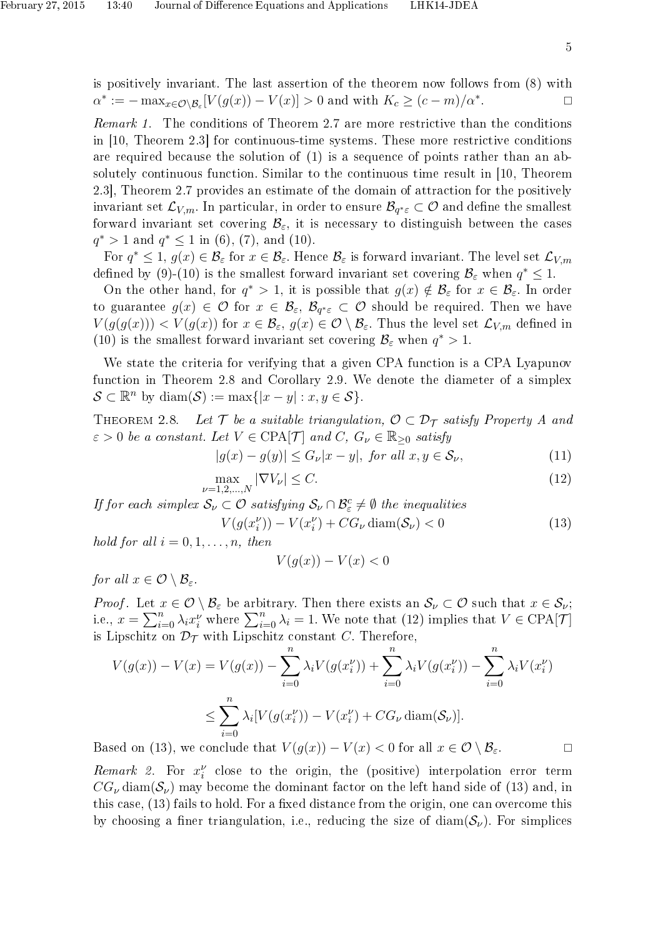is positively invariant. The last assertion of the theorem now follows from (8) with  $\alpha^* := - \max_{x \in \mathcal{O} \setminus \mathcal{B}_\varepsilon} [V(g(x)) - V(x)] > 0$  and with  $K_c \ge (c - m)/\alpha^*$ . — Примерение и производите в примерение и производите в собстании и производите и примерение и при<br>В собстании и примерение и примерение и примерение и примерение и примерение и примерение и примерение и приме<br>В собстан

Remark 1. The conditions of Theorem 2.7 are more restrictive than the conditions in [10, Theorem 2.3] for continuous-time systems. These more restrictive conditions are required because the solution of (1) is a sequence of points rather than an absolutely continuous function. Similar to the continuous time result in [10, Theorem 2.3], Theorem 2.7 provides an estimate of the domain of attraction for the positively invariant set  ${\cal L}_{V,m}.$  In particular, in order to ensure  $\mathcal{B}_{q^*\varepsilon}\subset\mathcal{O}$  and define the smallest forward invariant set covering  $\mathcal{B}_{\varepsilon}$ , it is necessary to distinguish between the cases  $q^* > 1$  and  $q^* \leq 1$  in (6), (7), and (10).

For  $q^* \leq 1$ ,  $g(x) \in \mathcal{B}_{\varepsilon}$  for  $x \in \mathcal{B}_{\varepsilon}$ . Hence  $\mathcal{B}_{\varepsilon}$  is forward invariant. The level set  $\mathcal{L}_{V,m}$ defined by (9)-(10) is the smallest forward invariant set covering  $\mathcal{B}_{\varepsilon}$  when  $q^* \leq 1$ .

On the other hand, for  $q^* > 1$ , it is possible that  $g(x) \notin \mathcal{B}_{\varepsilon}$  for  $x \in \mathcal{B}_{\varepsilon}$ . In order to guarantee  $g(x) \in \mathcal{O}$  for  $x \in \mathcal{B}_{\varepsilon}, \mathcal{B}_{q^*\varepsilon} \subset \mathcal{O}$  should be required. Then we have  $V(g(g(x))) < V(g(x))$  for  $x \in \mathcal{B}_{\varepsilon}$ ,  $g(x) \in \mathcal{O} \setminus \mathcal{B}_{\varepsilon}$ . Thus the level set  $\mathcal{L}_{V,m}$  defined in (10) is the smallest forward invariant set covering  $\mathcal{B}_{\varepsilon}$  when  $q^* > 1$ .

We state the criteria for verifying that a given CPA function is a CPA Lyapunov function in Theorem 2.8 and Corollary 2.9. We denote the diameter of a simplex  $\mathcal{S} \subset \mathbb{R}^n$  by diam $(\mathcal{S}) := \max\{|x - y| : x, y \in \mathcal{S}\}.$ 

THEOREM 2.8. Let  $\mathcal T$  be a suitable triangulation,  $\mathcal O \subset \mathcal D_{\mathcal T}$  satisfy Property A and  $\varepsilon > 0$  be a constant. Let  $V \in \text{CPA}[\mathcal{T}]$  and  $C, G_{\nu} \in \mathbb{R}_{\geq 0}$  satisfy

 $|g(x) - g(y)| \le G_{\nu}|x - y|$ , for all  $x, y \in S_{\nu}$ , (11)

$$
\max_{\nu=1,2,\dots,N} |\nabla V_{\nu}| \le C. \tag{12}
$$

If for each simplex  $S_{\nu} \subset \mathcal{O}$  satisfying  $S_{\nu} \cap \mathcal{B}_{\varepsilon}^c \neq \emptyset$  the inequalities

$$
V(g(x_i^{\nu})) - V(x_i^{\nu}) + CG_{\nu} \operatorname{diam}(\mathcal{S}_{\nu}) < 0
$$
\n
$$
\vdots \quad 0 \quad 1 \qquad \dots \qquad \text{then} \tag{13}
$$

hold for all  $i = 0, 1, \ldots, n$ , then

$$
V(g(x)) - V(x) < 0
$$

for all  $x \in \mathcal{O} \setminus \mathcal{B}_{\varepsilon}$ .

*Proof.* Let  $x \in \mathcal{O} \setminus \mathcal{B}_{\varepsilon}$  be arbitrary. Then there exists an  $\mathcal{S}_{\nu} \subset \mathcal{O}$  such that  $x \in \mathcal{S}_{\nu}$ ; i.e.,  $x = \sum_{i=0}^{n} \lambda_i x_i^{\nu}$  where  $\sum_{i=0}^{n} \lambda_i = 1$ . We note that  $(12)$  implies that  $V \in \text{CPA}[\mathcal{T}]$ is Lipschitz on  $\mathcal{D}_{\mathcal{T}}$  with Lipschitz constant C. Therefore,

$$
V(g(x)) - V(x) = V(g(x)) - \sum_{i=0}^{n} \lambda_i V(g(x_i^{\nu})) + \sum_{i=0}^{n} \lambda_i V(g(x_i^{\nu})) - \sum_{i=0}^{n} \lambda_i V(x_i^{\nu})
$$
  

$$
\leq \sum_{i=0}^{n} \lambda_i [V(g(x_i^{\nu})) - V(x_i^{\nu}) + CG_{\nu} \operatorname{diam}(\mathcal{S}_{\nu})].
$$
  
and on (13) we conclude that  $V(g(x)) - V(x) < 0$  for all  $x \in \mathcal{O} \setminus \mathcal{B}$ 

Based on (13), we conclude that  $V(g(x)) - V(x) < 0$  for all  $x \in \mathcal{O} \setminus \mathcal{B}_{\varepsilon}$ .

Remark 2. For  $x_i^{\nu}$  close to the origin, the (positive) interpolation error term  $CG_{\nu}$  diam( $S_{\nu}$ ) may become the dominant factor on the left hand side of (13) and, in this case,  $(13)$  fails to hold. For a fixed distance from the origin, one can overcome this by choosing a finer triangulation, i.e., reducing the size of  $\text{diam}(\mathcal{S}_{\nu})$ . For simplices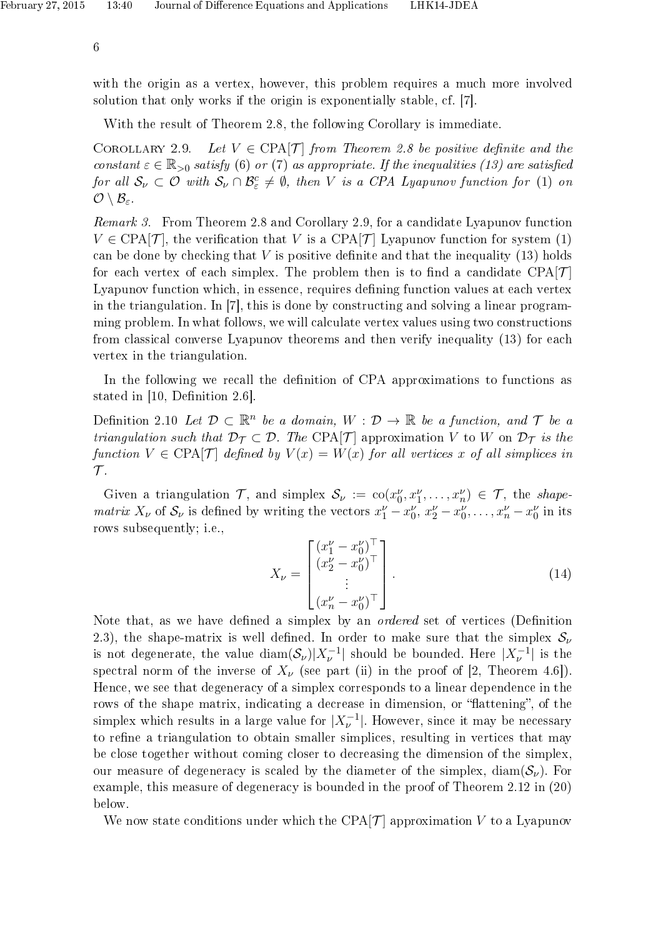with the origin as a vertex, however, this problem requires a much more involved solution that only works if the origin is exponentially stable, cf. [7].

With the result of Theorem 2.8, the following Corollary is immediate.

COROLLARY 2.9. Let  $V \in \text{CPA}[\mathcal{T}]$  from Theorem 2.8 be positive definite and the constant  $\varepsilon \in \mathbb{R}_{>0}$  satisfy (6) or (7) as appropriate. If the inequalities (13) are satisfied for all  $S_\nu \subset \mathcal{O}$  with  $S_\nu \cap \mathcal{B}_\varepsilon^c \neq \emptyset$ , then V is a CPA Lyapunov function for (1) on  $\mathcal{O} \setminus \mathcal{B}_{\varepsilon}.$ 

Remark 3. From Theorem 2.8 and Corollary 2.9, for a candidate Lyapunov function  $V \in \text{CPA}[\mathcal{T}]$ , the verification that V is a CPA[T] Lyapunov function for system (1) can be done by checking that  $V$  is positive definite and that the inequality (13) holds for each vertex of each simplex. The problem then is to find a candidate  $CPA[\mathcal{T}]$ Lyapunov function which, in essence, requires defining function values at each vertex in the triangulation. In [7], this is done by constructing and solving a linear programming problem. In what follows, we will calculate vertex values using two constructions from classical converse Lyapunov theorems and then verify inequality (13) for each vertex in the triangulation.

In the following we recall the definition of CPA approximations to functions as stated in [10, Definition 2.6].

Definition 2.10 Let  $D \subset \mathbb{R}^n$  be a domain,  $W : D \to \mathbb{R}$  be a function, and  $\mathcal T$  be a triangulation such that  $\mathcal{D}_{\mathcal{T}} \subset \mathcal{D}$ . The CPA[T] approximation V to W on  $\mathcal{D}_{\mathcal{T}}$  is the function  $V \in \text{CPA}[\mathcal{T}]$  defined by  $V(x) = W(x)$  for all vertices x of all simplices in  $\mathcal T$ .

Given a triangulation  $\mathcal{T}$ , and simplex  $\mathcal{S}_{\nu} := \text{co}(x_0^{\nu}, x_1^{\nu}, \dots, x_n^{\nu}) \in \mathcal{T}$ , the shapematrix  $X_{\nu}$  of  $S_{\nu}$  is defined by writing the vectors  $x_1^{\nu} - x_0^{\nu}$ ,  $x_2^{\nu} - x_0^{\nu}$ , ...,  $x_n^{\nu} - x_0^{\nu}$  in its rows subsequently; i.e.,

$$
X_{\nu} = \begin{bmatrix} (x_1^{\nu} - x_0^{\nu})^{\top} \\ (x_2^{\nu} - x_0^{\nu})^{\top} \\ \vdots \\ (x_n^{\nu} - x_0^{\nu})^{\top} \end{bmatrix} .
$$
 (14)

Note that, as we have defined a simplex by an *ordered* set of vertices (Definition 2.3), the shape-matrix is well defined. In order to make sure that the simplex  $S_{\nu}$ is not degenerate, the value  $\text{diam}(\mathcal{S}_{\nu})|X_{\nu}^{-1}|$  should be bounded. Here  $|X_{\nu}^{-1}|$  is the spectral norm of the inverse of  $X_{\nu}$  (see part (ii) in the proof of [2, Theorem 4.6]). Hence, we see that degeneracy of a simplex corresponds to a linear dependence in the rows of the shape matrix, indicating a decrease in dimension, or "flattening", of the simplex which results in a large value for  $|X_{\nu}^{-1}|$ . However, since it may be necessary to refine a triangulation to obtain smaller simplices, resulting in vertices that may be close together without coming closer to decreasing the dimension of the simplex, our measure of degeneracy is scaled by the diameter of the simplex, diam( $\mathcal{S}_{\nu}$ ). For example, this measure of degeneracy is bounded in the proof of Theorem 2.12 in (20) below.

We now state conditions under which the CPA $|\mathcal{T}|$  approximation V to a Lyapunov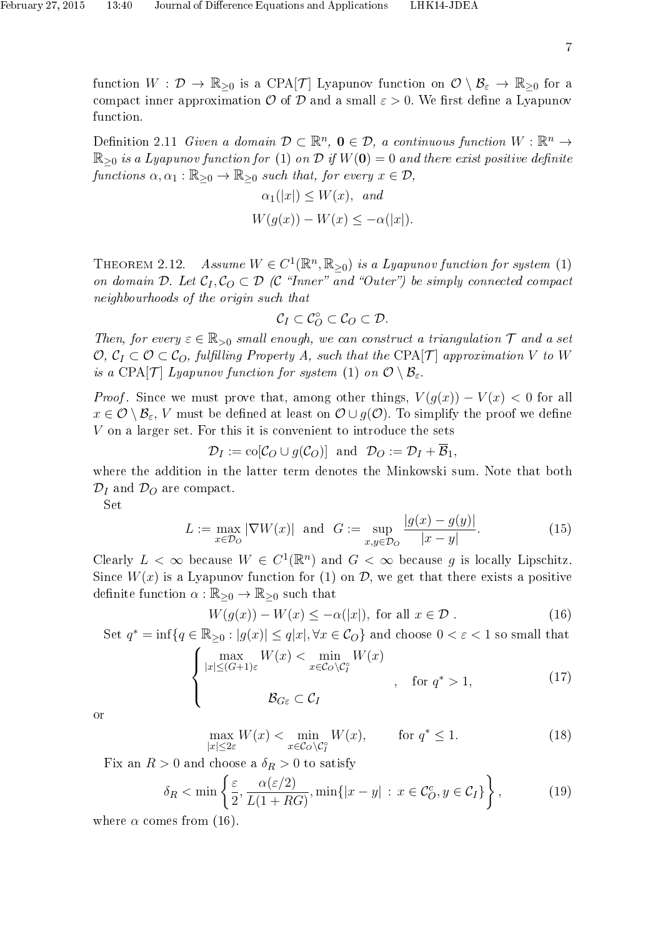function  $W: \mathcal{D} \to \mathbb{R}_{\geq 0}$  is a CPA[T] Lyapunov function on  $\mathcal{O} \setminus \mathcal{B}_{\varepsilon} \to \mathbb{R}_{\geq 0}$  for a compact inner approximation  $\mathcal O$  of  $\mathcal D$  and a small  $\varepsilon > 0$ . We first define a Lyapunov function.

Definition 2.11 Given a domain  $\mathcal{D} \subset \mathbb{R}^n$ ,  $\mathbf{0} \in \mathcal{D}$ , a continuous function  $W : \mathbb{R}^n \to$  $\mathbb{R}_{\geq 0}$  is a Lyapunov function for (1) on D if  $W(0) = 0$  and there exist positive definite functions  $\alpha, \alpha_1 : \mathbb{R}_{\geq 0} \to \mathbb{R}_{\geq 0}$  such that, for every  $x \in \mathcal{D}$ ,

$$
\alpha_1(|x|) \le W(x), \text{ and}
$$
  
 
$$
W(g(x)) - W(x) \le -\alpha(|x|).
$$

THEOREM 2.12. Assume  $W \in C^1(\mathbb{R}^n, \mathbb{R}_{\geq 0})$  is a Lyapunov function for system (1) on domain D. Let  $C_1, C_0 \subset \mathcal{D}$  (C "Inner" and "Outer") be simply connected compact neighbourhoods of the origin such that

$$
\mathcal{C}_I\subset \mathcal{C}_O^\circ\subset \mathcal{C}_O\subset \mathcal{D}.
$$

Then, for every  $\varepsilon \in \mathbb{R}_{>0}$  small enough, we can construct a triangulation  $\mathcal T$  and a set  $\mathcal{O}, \mathcal{C}_I \subset \mathcal{O} \subset \mathcal{C}_O$ , fulfilling Property A, such that the CPA[T] approximation V to W is a CPA[T] Lyapunov function for system (1) on  $\mathcal{O} \setminus \mathcal{B}_{\varepsilon}$ .

*Proof.* Since we must prove that, among other things,  $V(g(x)) - V(x) < 0$  for all  $x \in \mathcal{O} \setminus \mathcal{B}_{\varepsilon}$ , V must be defined at least on  $\mathcal{O} \cup g(\mathcal{O})$ . To simplify the proof we define V on a larger set. For this it is convenient to introduce the sets

$$
\mathcal{D}_I := \text{co}[\mathcal{C}_O \cup g(\mathcal{C}_O)] \text{ and } \mathcal{D}_O := \mathcal{D}_I + \overline{\mathcal{B}}_1,
$$

where the addition in the latter term denotes the Minkowski sum. Note that both  $\mathcal{D}_I$  and  $\mathcal{D}_O$  are compact.

Set

$$
L := \max_{x \in \mathcal{D}_O} |\nabla W(x)| \text{ and } G := \sup_{x, y \in \mathcal{D}_O} \frac{|g(x) - g(y)|}{|x - y|}.
$$
 (15)

Clearly  $L < \infty$  because  $W \in C^1(\mathbb{R}^n)$  and  $G < \infty$  because g is locally Lipschitz. Since  $W(x)$  is a Lyapunov function for (1) on  $\mathcal{D}$ , we get that there exists a positive definite function  $\alpha : \mathbb{R}_{\geq 0} \to \mathbb{R}_{\geq 0}$  such that

$$
W(g(x)) - W(x) \le -\alpha(|x|), \text{ for all } x \in \mathcal{D}.
$$
 (16)

Set  $q^* = \inf\{q \in \mathbb{R}_{\geq 0} : |g(x)| \leq q|x|, \forall x \in C_O\}$  and choose  $0 < \varepsilon < 1$  so small that  $\sqrt{ }$  $\int$  $\overline{\mathcal{L}}$ max  $|x|$ ≤(G+1)ε  $W(x) < \min$  $x \in \mathcal{C}_O \backslash \mathcal{C}_I^{\circ}$  $W(x)$ , for  $q^* > 1$ ,  $\mathcal{B}_{G\varepsilon}\subset\mathcal{C}_I$ (17)

or

$$
\max_{|x| \le 2\varepsilon} W(x) < \min_{x \in \mathcal{C}_O \setminus \mathcal{C}_I^{\circ}} W(x), \qquad \text{for } q^* \le 1. \tag{18}
$$

Fix an  $R > 0$  and choose a  $\delta_R > 0$  to satisfy

$$
\delta_R < \min\left\{\frac{\varepsilon}{2}, \frac{\alpha(\varepsilon/2)}{L(1+RG)}, \min\{|x-y| \, : \, x \in \mathcal{C}_O^c, y \in \mathcal{C}_I\} \right\},\tag{19}
$$

where  $\alpha$  comes from (16).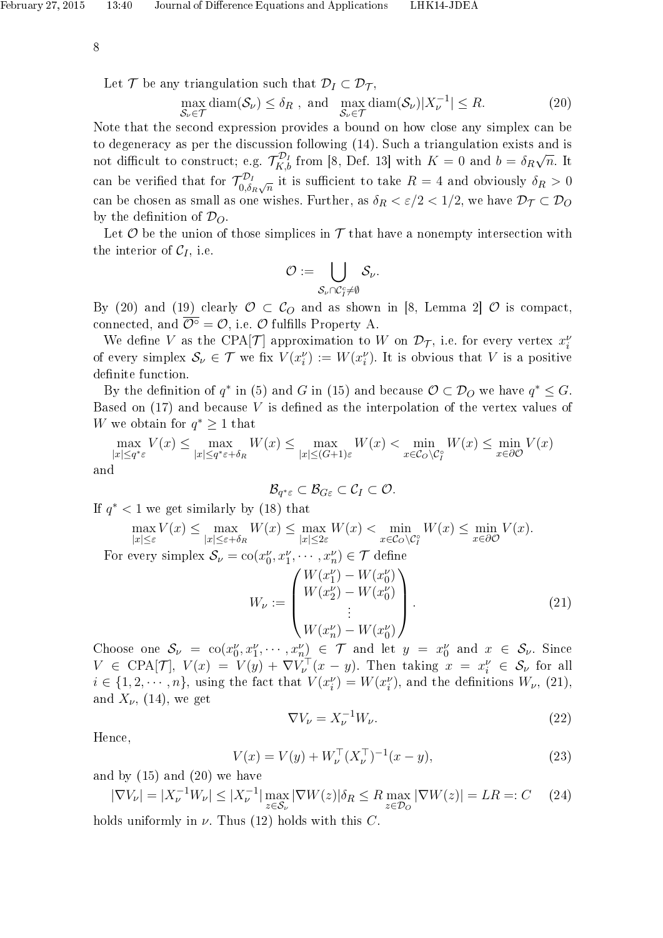Let T be any triangulation such that  $\mathcal{D}_I \subset \mathcal{D}_{\mathcal{T}}$ ,

$$
\max_{\mathcal{S}_{\nu} \in \mathcal{T}} \text{diam}(\mathcal{S}_{\nu}) \le \delta_R \text{ , and } \max_{\mathcal{S}_{\nu} \in \mathcal{T}} \text{diam}(\mathcal{S}_{\nu}) |X_{\nu}^{-1}| \le R. \tag{20}
$$

Note that the second expression provides a bound on how close any simplex can be to degeneracy as per the discussion following (14). Such a triangulation exists and is not difficult to construct; e.g.  $\mathcal{T}_{K,b}^{\mathcal{D}_I}$  from [8, Def. 13] with  $K = 0$  and  $b = \delta_R$ √  $\overline{n}$ . It can be verified that for  $\mathcal{T}_{0,\delta}^{\mathcal{D}_I}$  $\epsilon_{0,\delta_R\sqrt{n}}^{D_I}$  it is sufficient to take  $R=4$  and obviously  $\delta_R>0$ can be chosen as small as one wishes. Further, as  $\delta_R < \varepsilon/2 < 1/2$ , we have  $\mathcal{D}_{\mathcal{T}} \subset \mathcal{D}_{\mathcal{O}}$ by the definition of  $\mathcal{D}_O$ .

Let  $\mathcal O$  be the union of those simplices in  $\mathcal T$  that have a nonempty intersection with the interior of  $C_I$ , i.e.

$$
\mathcal{O}:=\bigcup_{\mathcal{S}_{\nu}\cap\mathcal{C}^c_I\neq\emptyset}\mathcal{S}_{\nu}.
$$

By (20) and (19) clearly  $\mathcal{O} \subset \mathcal{C}_O$  and as shown in [8, Lemma 2]  $\mathcal{O}$  is compact. connected, and  $\overline{\mathcal{O}^{\circ}} = \mathcal{O}$ , i.e.  $\mathcal O$  fulfills Property A.

We define V as the CPA[T] approximation to W on  $\mathcal{D}_{\mathcal{T}}$ , i.e. for every vertex  $x_i^{\nu}$ of every simplex  $S_{\nu} \in \mathcal{T}$  we fix  $V(x_i^{\nu}) := W(x_i^{\nu})$ . It is obvious that V is a positive definite function.

By the definition of  $q^*$  in (5) and G in (15) and because  $\mathcal{O} \subset \mathcal{D}_O$  we have  $q^* \leq G$ . Based on  $(17)$  and because V is defined as the interpolation of the vertex values of W we obtain for  $q^* \geq 1$  that

$$
\max_{|x| \le q^* \varepsilon} V(x) \le \max_{|x| \le q^* \varepsilon + \delta_R} W(x) \le \max_{|x| \le (G+1)\varepsilon} W(x) < \min_{x \in \mathcal{C}_O \backslash \mathcal{C}_I^{\circ}} W(x) \le \min_{x \in \partial \mathcal{O}} V(x)
$$
\nand

$$
\mathcal{B}_{q^*\varepsilon}\subset\mathcal{B}_{G\varepsilon}\subset\mathcal{C}_I\subset\mathcal{O}.
$$

If  $q^*$  < 1 we get similarly by (18) that

$$
\max_{|x| \le \varepsilon} V(x) \le \max_{|x| \le \varepsilon + \delta_R} W(x) \le \max_{|x| \le 2\varepsilon} W(x) < \min_{x \in \mathcal{C}_O \setminus \mathcal{C}_I^{\circ}} W(x) \le \min_{x \in \partial \mathcal{O}} V(x).
$$
\nor every simplex  $S_{\omega} = \text{co}(x^{\nu}, x^{\nu}, \dots, x^{\nu}) \in \mathcal{T}$  define

For every simplex  $\mathcal{S}_{\nu} = \text{co}(x_0^{\nu}, x_1^{\nu}, \cdots, x_n^{\nu}) \in \mathcal{T}$  define

$$
W_{\nu} := \begin{pmatrix} W(x_1^{\nu}) - W(x_0^{\nu}) \\ W(x_2^{\nu}) - W(x_0^{\nu}) \\ \vdots \\ W(x_n^{\nu}) - W(x_0^{\nu}) \end{pmatrix} .
$$
 (21)

Choose one  $\mathcal{S}_{\nu} = \text{co}(x_0^{\nu}, x_1^{\nu}, \cdots, x_n^{\nu}) \in \mathcal{T}$  and let  $y = x_0^{\nu}$  and  $x \in \mathcal{S}_{\nu}$ . Since  $V \in \text{CPA}[\mathcal{T}], V(x) = V(y) + \nabla V_{\nu}^{\top}(x - y)$ . Then taking  $x = x_i^{\nu} \in \mathcal{S}_{\nu}$  for all  $i \in \{1, 2, \cdots, n\}$ , using the fact that  $V(x_i^{\nu}) = W(x_i^{\nu})$ , and the definitions  $W_{\nu}$ , (21), and  $X_{\nu}$ , (14), we get

$$
\nabla V_{\nu} = X_{\nu}^{-1} W_{\nu}.
$$
\n
$$
(22)
$$

Hence,

$$
V(x) = V(y) + W_{\nu}^{\top} (X_{\nu}^{\top})^{-1} (x - y), \tag{23}
$$

and by (15) and (20) we have

$$
|\nabla V_{\nu}| = |X_{\nu}^{-1}W_{\nu}| \le |X_{\nu}^{-1}| \max_{z \in \mathcal{S}_{\nu}} |\nabla W(z)| \delta_R \le R \max_{z \in \mathcal{D}_O} |\nabla W(z)| = LR =: C \quad (24)
$$

holds uniformly in  $\nu$ . Thus (12) holds with this C.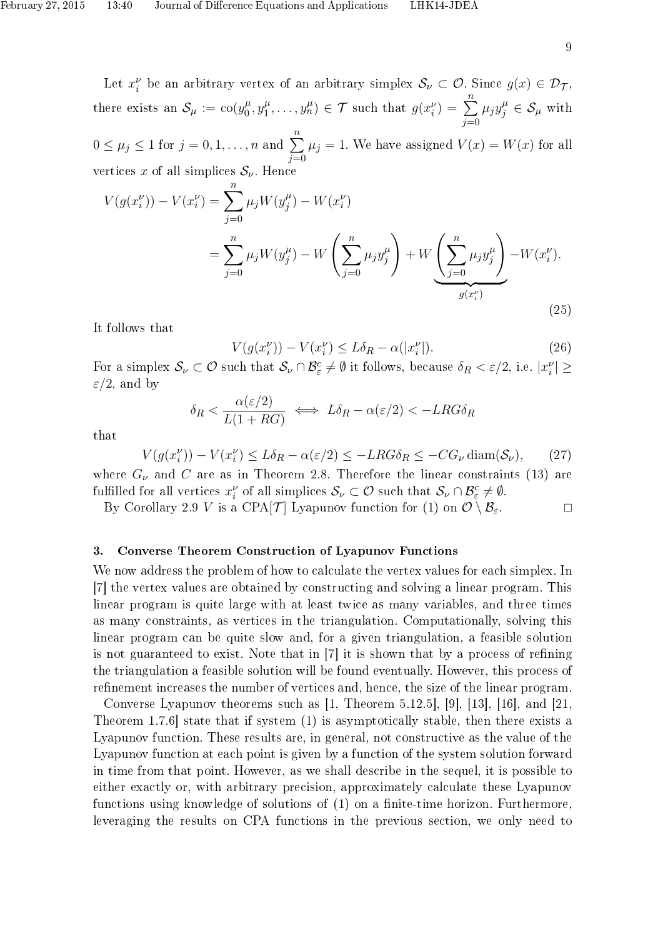Let  $x_i^{\nu}$  be an arbitrary vertex of an arbitrary simplex  $\mathcal{S}_{\nu} \subset \mathcal{O}$ . Since  $g(x) \in \mathcal{D}_{\mathcal{T}}$ , there exists an  $\mathcal{S}_{\mu} := \text{co}(y_0^{\mu})$  $y_1^{\mu}, y_1^{\mu}$  $y_1^{\mu}, \ldots, y_n^{\mu} \in \mathcal{T}$  such that  $g(x_i^{\nu}) = \sum_{i=1}^n$  $j=0$  $\mu_j y_j^{\mu} \in \mathcal{S}_{\mu}$  with  $0 \le \mu_j \le 1$  for  $j = 0, 1, \ldots, n$  and  $\sum_{n=1}^{n}$  $j=0$  $\mu_j = 1$ . We have assigned  $V(x) = W(x)$  for all vertices x of all simplices  $S_{\nu}$ . Hence

$$
V(g(x_i^{\nu})) - V(x_i^{\nu}) = \sum_{j=0}^{n} \mu_j W(y_j^{\mu}) - W(x_i^{\nu})
$$
  
= 
$$
\sum_{j=0}^{n} \mu_j W(y_j^{\mu}) - W\left(\sum_{j=0}^{n} \mu_j y_j^{\mu}\right) + W\left(\sum_{j=0}^{n} \mu_j y_j^{\mu}\right) - W(x_i^{\nu}).
$$
  

$$
g(x_i^{\nu})
$$
 (25)

It follows that

$$
V(g(x_i^{\nu})) - V(x_i^{\nu}) \le L\delta_R - \alpha(|x_i^{\nu}|). \tag{26}
$$

For a simplex  $\mathcal{S}_{\nu} \subset \mathcal{O}$  such that  $\mathcal{S}_{\nu} \cap \mathcal{B}_{\varepsilon}^c \neq \emptyset$  it follows, because  $\delta_R < \varepsilon/2$ , i.e.  $|x_i^{\nu}| \geq$  $\varepsilon/2$ , and by

$$
\delta_R < \frac{\alpha(\varepsilon/2)}{L(1+RG)} \iff L\delta_R - \alpha(\varepsilon/2) < -LRG\delta_R
$$

that

$$
V(g(x_i^{\nu})) - V(x_i^{\nu}) \le L\delta_R - \alpha(\varepsilon/2) \le -LRG\delta_R \le -CG_{\nu}\operatorname{diam}(\mathcal{S}_{\nu}),\qquad(27)
$$

where  $G_{\nu}$  and C are as in Theorem 2.8. Therefore the linear constraints (13) are fulfilled for all vertices  $x_i^{\nu}$  of all simplices  $S_{\nu} \subset \mathcal{O}$  such that  $S_{\nu} \cap \mathcal{B}_{\varepsilon}^c \neq \emptyset$ .

By Corollary 2.9 V is a CPA[T] Lyapunov function for (1) on  $\mathcal{O} \setminus \mathcal{B}_{\varepsilon}$ .

#### 3. Converse Theorem Construction of Lyapunov Functions

We now address the problem of how to calculate the vertex values for each simplex. In [7] the vertex values are obtained by constructing and solving a linear program. This linear program is quite large with at least twice as many variables, and three times as many constraints, as vertices in the triangulation. Computationally, solving this linear program can be quite slow and, for a given triangulation, a feasible solution is not guaranteed to exist. Note that in  $[7]$  it is shown that by a process of refining the triangulation a feasible solution will be found eventually. However, this process of refinement increases the number of vertices and, hence, the size of the linear program.

Converse Lyapunov theorems such as [1, Theorem 5.12.5], [9], [13], [16], and [21, Theorem 1.7.6] state that if system (1) is asymptotically stable, then there exists a Lyapunov function. These results are, in general, not constructive as the value of the Lyapunov function at each point is given by a function of the system solution forward in time from that point. However, as we shall describe in the sequel, it is possible to either exactly or, with arbitrary precision, approximately calculate these Lyapunov functions using knowledge of solutions of  $(1)$  on a finite-time horizon. Furthermore, leveraging the results on CPA functions in the previous section, we only need to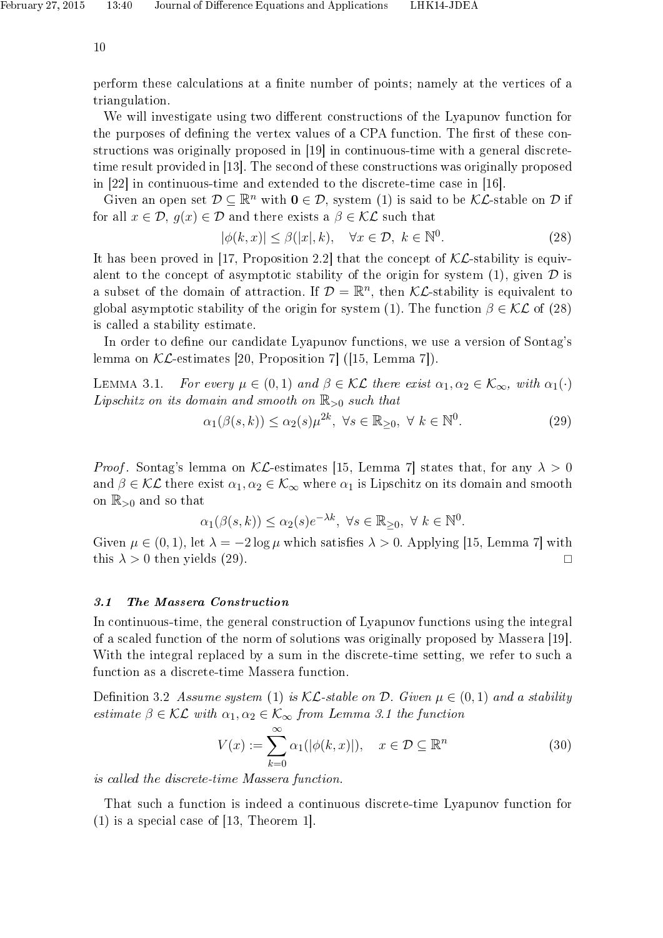perform these calculations at a nite number of points; namely at the vertices of a triangulation.

We will investigate using two different constructions of the Lyapunov function for the purposes of defining the vertex values of a CPA function. The first of these constructions was originally proposed in [19] in continuous-time with a general discretetime result provided in [13]. The second of these constructions was originally proposed in [22] in continuous-time and extended to the discrete-time case in [16].

Given an open set  $\mathcal{D} \subset \mathbb{R}^n$  with  $0 \in \mathcal{D}$ , system (1) is said to be  $\mathcal{KL}$ -stable on  $\mathcal D$  if for all  $x \in \mathcal{D}$ ,  $q(x) \in \mathcal{D}$  and there exists a  $\beta \in \mathcal{KL}$  such that

$$
|\phi(k,x)| \le \beta(|x|,k), \quad \forall x \in \mathcal{D}, \ k \in \mathbb{N}^0. \tag{28}
$$

It has been proved in [17, Proposition 2.2] that the concept of  $\mathcal{KL}$ -stability is equivalent to the concept of asymptotic stability of the origin for system  $(1)$ , given  $\mathcal D$  is a subset of the domain of attraction. If  $\mathcal{D} = \mathbb{R}^n$ , then KL-stability is equivalent to global asymptotic stability of the origin for system (1). The function  $\beta \in \mathcal{KL}$  of (28) is called a stability estimate.

In order to define our candidate Lyapunov functions, we use a version of Sontag's lemma on  $\mathcal{KL}$ -estimates [20, Proposition 7] ([15, Lemma 7]).

LEMMA 3.1. For every  $\mu \in (0,1)$  and  $\beta \in \mathcal{KL}$  there exist  $\alpha_1, \alpha_2 \in \mathcal{K}_{\infty}$ , with  $\alpha_1(\cdot)$ Lipschitz on its domain and smooth on  $\mathbb{R}_{>0}$  such that

$$
\alpha_1(\beta(s,k)) \le \alpha_2(s)\mu^{2k}, \ \forall s \in \mathbb{R}_{\geq 0}, \ \forall \ k \in \mathbb{N}^0. \tag{29}
$$

*Proof.* Sontag's lemma on  $\mathcal{KL}$ -estimates [15, Lemma 7] states that, for any  $\lambda > 0$ and  $\beta \in \mathcal{KL}$  there exist  $\alpha_1, \alpha_2 \in \mathcal{K}_{\infty}$  where  $\alpha_1$  is Lipschitz on its domain and smooth on  $\mathbb{R}_{>0}$  and so that

$$
\alpha_1(\beta(s,k)) \le \alpha_2(s)e^{-\lambda k}, \ \forall s \in \mathbb{R}_{\geq 0}, \ \forall \ k \in \mathbb{N}^0.
$$

Given  $\mu \in (0, 1)$ , let  $\lambda = -2 \log \mu$  which satisfies  $\lambda > 0$ . Applying [15, Lemma 7] with this  $\lambda > 0$  then yields (29).

## 3.1 The Massera Construction

In continuous-time, the general construction of Lyapunov functions using the integral of a scaled function of the norm of solutions was originally proposed by Massera [19]. With the integral replaced by a sum in the discrete-time setting, we refer to such a function as a discrete-time Massera function.

Definition 3.2 Assume system (1) is  $\mathcal{KL}\text{-stable}$  on  $\mathcal{D}$ . Given  $\mu \in (0,1)$  and a stability estimate  $\beta \in \mathcal{KL}$  with  $\alpha_1, \alpha_2 \in \mathcal{K}_{\infty}$  from Lemma 3.1 the function

$$
V(x) := \sum_{k=0}^{\infty} \alpha_1(|\phi(k, x)|), \quad x \in \mathcal{D} \subseteq \mathbb{R}^n
$$
 (30)

is called the discrete-time Massera function.

That such a function is indeed a continuous discrete-time Lyapunov function for  $(1)$  is a special case of [13, Theorem 1].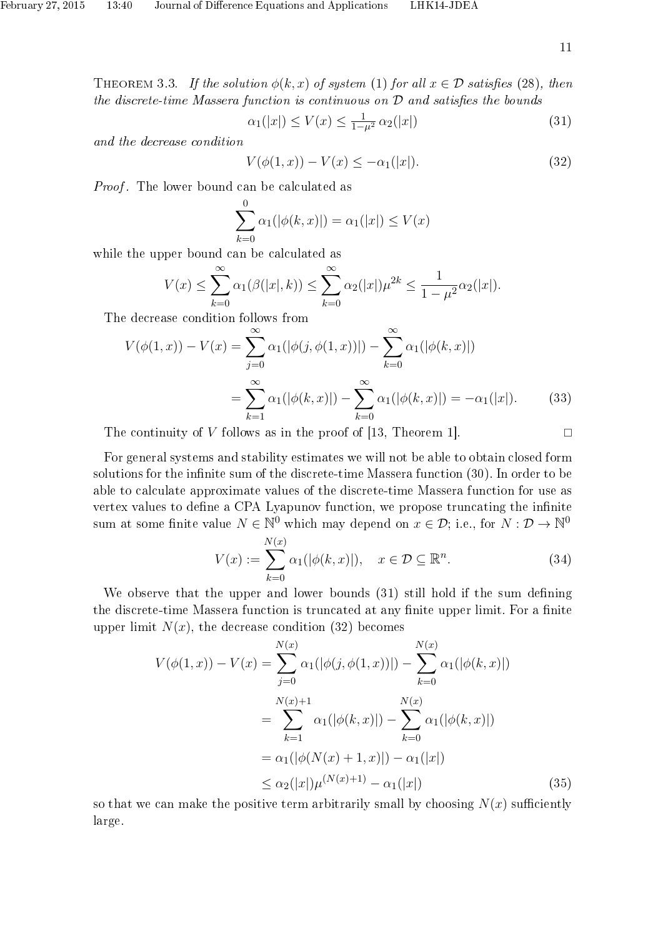THEOREM 3.3. If the solution  $\phi(k, x)$  of system (1) for all  $x \in \mathcal{D}$  satisfies (28), then the discrete-time Massera function is continuous on  $D$  and satisfies the bounds

$$
\alpha_1(|x|) \le V(x) \le \frac{1}{1-\mu^2} \alpha_2(|x|) \tag{31}
$$

and the decrease condition

$$
V(\phi(1, x)) - V(x) \le -\alpha_1(|x|). \tag{32}
$$

Proof. The lower bound can be calculated as

$$
\sum_{k=0}^{0} \alpha_1(|\phi(k, x)|) = \alpha_1(|x|) \le V(x)
$$

while the upper bound can be calculated as

$$
V(x) \le \sum_{k=0}^{\infty} \alpha_1(\beta(|x|, k)) \le \sum_{k=0}^{\infty} \alpha_2(|x|) \mu^{2k} \le \frac{1}{1 - \mu^2} \alpha_2(|x|).
$$

The decrease condition follows from

$$
V(\phi(1, x)) - V(x) = \sum_{j=0}^{\infty} \alpha_1(|\phi(j, \phi(1, x))|) - \sum_{k=0}^{\infty} \alpha_1(|\phi(k, x)|)
$$

$$
= \sum_{k=1}^{\infty} \alpha_1(|\phi(k, x)|) - \sum_{k=0}^{\infty} \alpha_1(|\phi(k, x)|) = -\alpha_1(|x|). \tag{33}
$$

The continuity of V follows as in the proof of [13, Theorem 1].  $\Box$ 

For general systems and stability estimates we will not be able to obtain closed form solutions for the infinite sum of the discrete-time Massera function (30). In order to be able to calculate approximate values of the discrete-time Massera function for use as vertex values to define a CPA Lyapunov function, we propose truncating the infinite sum at some finite value  $N \in \mathbb{N}^0$  which may depend on  $x \in \mathcal{D}$ ; i.e., for  $N : \mathcal{D} \to \mathbb{N}^0$ 

$$
V(x) := \sum_{k=0}^{N(x)} \alpha_1(|\phi(k, x)|), \quad x \in \mathcal{D} \subseteq \mathbb{R}^n.
$$
 (34)

We observe that the upper and lower bounds  $(31)$  still hold if the sum defining the discrete-time Massera function is truncated at any finite upper limit. For a finite upper limit  $N(x)$ , the decrease condition (32) becomes

$$
V(\phi(1, x)) - V(x) = \sum_{j=0}^{N(x)} \alpha_1(|\phi(j, \phi(1, x))|) - \sum_{k=0}^{N(x)} \alpha_1(|\phi(k, x)|)
$$
  
= 
$$
\sum_{k=1}^{N(x)+1} \alpha_1(|\phi(k, x)|) - \sum_{k=0}^{N(x)} \alpha_1(|\phi(k, x)|)
$$
  
= 
$$
\alpha_1(|\phi(N(x) + 1, x)|) - \alpha_1(|x|)
$$
  
\$\leq \alpha\_2(|x|)\mu^{(N(x)+1)} - \alpha\_1(|x|)\$ (35)

so that we can make the positive term arbitrarily small by choosing  $N(x)$  sufficiently large.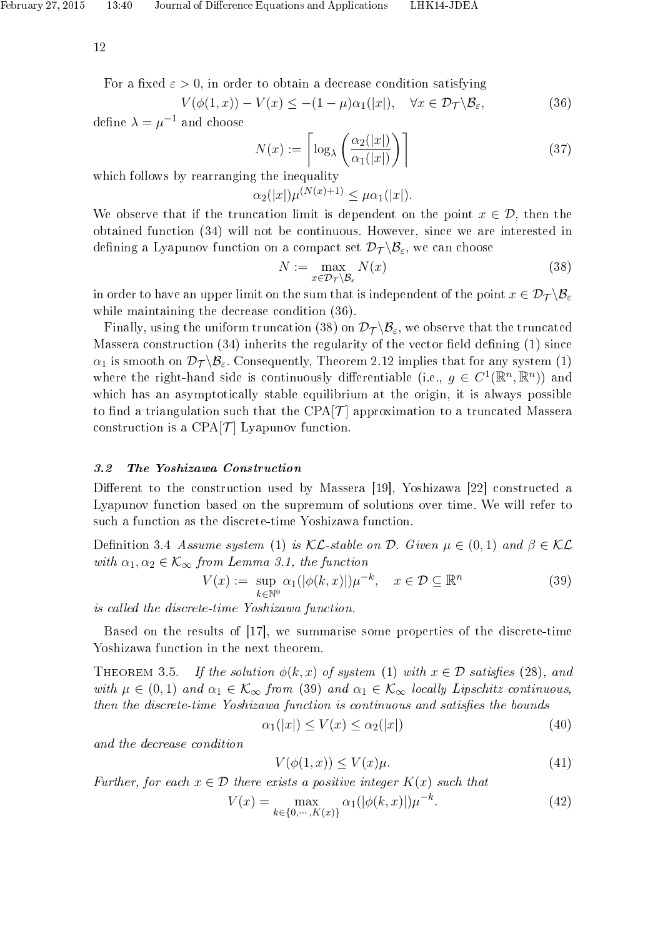For a fixed  $\varepsilon > 0$ , in order to obtain a decrease condition satisfying

$$
V(\phi(1,x)) - V(x) \le -(1 - \mu)\alpha_1(|x|), \quad \forall x \in \mathcal{D}_{\mathcal{T}} \backslash \mathcal{B}_{\varepsilon},\tag{36}
$$

define  $\lambda = \mu^{-1}$  and choose

$$
N(x) := \left\lceil \log_{\lambda} \left( \frac{\alpha_2(|x|)}{\alpha_1(|x|)} \right) \right\rceil \tag{37}
$$

which follows by rearranging the inequality

 $\alpha_2(|x|)\mu^{(N(x)+1)} \leq \mu \alpha_1(|x|).$ 

We observe that if the truncation limit is dependent on the point  $x \in \mathcal{D}$ , then the obtained function (34) will not be continuous. However, since we are interested in defining a Lyapunov function on a compact set  $\mathcal{D}_{\mathcal{T}}\setminus\mathcal{B}_{\varepsilon}$ , we can choose

$$
N := \max_{x \in \mathcal{D}_{\mathcal{T}} \backslash \mathcal{B}_{\varepsilon}} N(x) \tag{38}
$$

in order to have an upper limit on the sum that is independent of the point  $x \in \mathcal{D}_{\mathcal{T}} \setminus \mathcal{B}_{\varepsilon}$ while maintaining the decrease condition (36).

Finally, using the uniform truncation (38) on  $\mathcal{D}_{\mathcal{T}}\setminus\mathcal{B}_{\varepsilon}$ , we observe that the truncated Massera construction  $(34)$  inherits the regularity of the vector field defining  $(1)$  since  $\alpha_1$  is smooth on  $\mathcal{D}_{\mathcal{T}}\backslash\mathcal{B}_{\varepsilon}$ . Consequently, Theorem 2.12 implies that for any system (1) where the right-hand side is continuously differentiable (i.e.,  $g \in C^1(\mathbb{R}^n, \mathbb{R}^n)$ ) and which has an asymptotically stable equilibrium at the origin, it is always possible to find a triangulation such that the CPA $\mathcal{T}$  approximation to a truncated Massera construction is a CPA $[\mathcal{T}]$  Lyapunov function.

#### 3.2 The Yoshizawa Construction

Different to the construction used by Massera [19], Yoshizawa [22] constructed a Lyapunov function based on the supremum of solutions over time. We will refer to such a function as the discrete-time Yoshizawa function.

Definition 3.4 Assume system (1) is  $\mathcal{KL}\text{-stable}$  on  $\mathcal D$ . Given  $\mu \in (0,1)$  and  $\beta \in \mathcal{KL}$ with  $\alpha_1, \alpha_2 \in \mathcal{K}_{\infty}$  from Lemma 3.1, the function

$$
V(x) := \sup_{k \in \mathbb{N}^0} \alpha_1(|\phi(k, x)|)\mu^{-k}, \quad x \in \mathcal{D} \subseteq \mathbb{R}^n
$$
 (39)

is called the discrete-time Yoshizawa function.

Based on the results of [17], we summarise some properties of the discrete-time Yoshizawa function in the next theorem.

THEOREM 3.5. If the solution  $\phi(k, x)$  of system (1) with  $x \in \mathcal{D}$  satisfies (28), and with  $\mu \in (0,1)$  and  $\alpha_1 \in \mathcal{K}_{\infty}$  from (39) and  $\alpha_1 \in \mathcal{K}_{\infty}$  locally Lipschitz continuous, then the discrete-time Yoshizawa function is continuous and satisfies the bounds

$$
\alpha_1(|x|) \le V(x) \le \alpha_2(|x|) \tag{40}
$$

and the decrease condition

$$
V(\phi(1,x)) \le V(x)\mu. \tag{41}
$$

Further, for each  $x \in \mathcal{D}$  there exists a positive integer  $K(x)$  such that

$$
V(x) = \max_{k \in \{0, \cdots, K(x)\}} \alpha_1(|\phi(k, x)|)\mu^{-k}.
$$
 (42)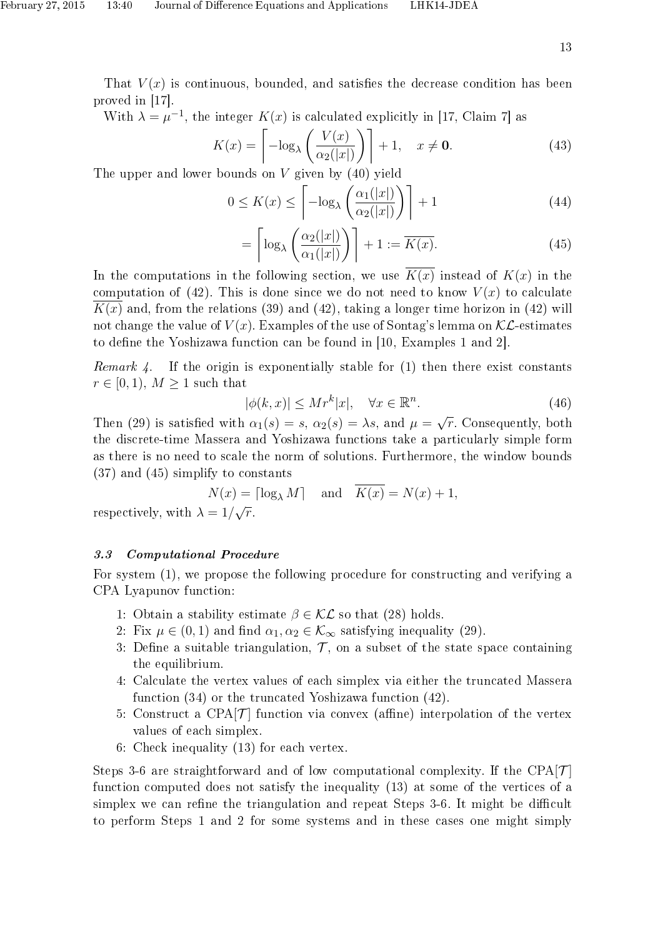That  $V(x)$  is continuous, bounded, and satisfies the decrease condition has been proved in [17].

With  $\lambda = \mu^{-1}$ , the integer  $K(x)$  is calculated explicitly in [17, Claim 7] as

$$
K(x) = \left[ -\log_{\lambda} \left( \frac{V(x)}{\alpha_2(|x|)} \right) \right] + 1, \quad x \neq \mathbf{0}.
$$
 (43)

The upper and lower bounds on V given by  $(40)$  yield

$$
0 \le K(x) \le \left\lceil -\log_{\lambda} \left( \frac{\alpha_1(|x|)}{\alpha_2(|x|)} \right) \right\rceil + 1 \tag{44}
$$

$$
= \left\lceil \log_{\lambda} \left( \frac{\alpha_2(|x|)}{\alpha_1(|x|)} \right) \right\rceil + 1 := \overline{K(x)}.
$$
 (45)

In the computations in the following section, we use  $\overline{K(x)}$  instead of  $K(x)$  in the computation of (42). This is done since we do not need to know  $V(x)$  to calculate  $K(x)$  and, from the relations (39) and (42), taking a longer time horizon in (42) will not change the value of  $V(x)$ . Examples of the use of Sontag's lemma on  $\mathcal{KL}$ -estimates to define the Yoshizawa function can be found in [10, Examples 1 and 2].

Remark 4. If the origin is exponentially stable for  $(1)$  then there exist constants  $r \in [0, 1)$ ,  $M \geq 1$  such that

$$
|\phi(k,x)| \le Mr^k|x|, \quad \forall x \in \mathbb{R}^n. \tag{46}
$$

Then (29) is satisfied with  $\alpha_1(s) = s$ ,  $\alpha_2(s) = \lambda s$ , and  $\mu =$ √  $\overline{r}.$  Consequently, both the discrete-time Massera and Yoshizawa functions take a particularly simple form as there is no need to scale the norm of solutions. Furthermore, the window bounds (37) and (45) simplify to constants

$$
N(x) = \lceil \log_{\lambda} M \rceil \quad \text{and} \quad \overline{K(x)} = N(x) + 1,
$$
  

$$
\lambda = 1/\sqrt{r}.
$$

respectively, with  $\lambda$ 

## 3.3 Computational Procedure

For system (1), we propose the following procedure for constructing and verifying a CPA Lyapunov function:

- 1: Obtain a stability estimate  $\beta \in \mathcal{KL}$  so that (28) holds.
- 2: Fix  $\mu \in (0, 1)$  and find  $\alpha_1, \alpha_2 \in \mathcal{K}_{\infty}$  satisfying inequality (29).
- 3: Define a suitable triangulation,  $\mathcal{T}$ , on a subset of the state space containing the equilibrium.
- 4: Calculate the vertex values of each simplex via either the truncated Massera function (34) or the truncated Yoshizawa function (42).
- 5: Construct a CPA $[\mathcal{T}]$  function via convex (affine) interpolation of the vertex values of each simplex.
- 6: Check inequality (13) for each vertex.

Steps 3-6 are straightforward and of low computational complexity. If the CPA $\left[\mathcal{T}\right]$ function computed does not satisfy the inequality (13) at some of the vertices of a simplex we can refine the triangulation and repeat Steps 3-6. It might be difficult to perform Steps 1 and 2 for some systems and in these cases one might simply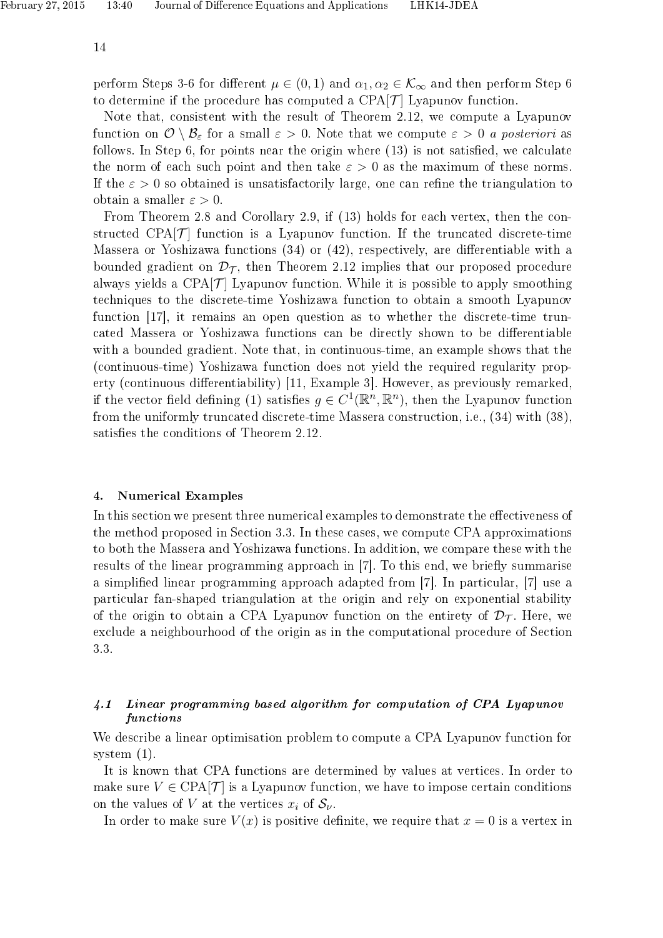perform Steps 3-6 for different  $\mu \in (0,1)$  and  $\alpha_1, \alpha_2 \in \mathcal{K}_{\infty}$  and then perform Step 6 to determine if the procedure has computed a CPA $\mathcal{T}$  Lyapunov function.

Note that, consistent with the result of Theorem 2.12, we compute a Lyapunov function on  $\mathcal{O}\setminus\mathcal{B}_{\varepsilon}$  for a small  $\varepsilon>0$ . Note that we compute  $\varepsilon>0$  a posteriori as follows. In Step 6, for points near the origin where  $(13)$  is not satisfied, we calculate the norm of each such point and then take  $\varepsilon > 0$  as the maximum of these norms. If the  $\varepsilon > 0$  so obtained is unsatisfactorily large, one can refine the triangulation to obtain a smaller  $\varepsilon > 0$ .

From Theorem 2.8 and Corollary 2.9, if (13) holds for each vertex, then the constructed CPA $\mathcal{T}$  function is a Lyapunov function. If the truncated discrete-time Massera or Yoshizawa functions  $(34)$  or  $(42)$ , respectively, are differentiable with a bounded gradient on  $\mathcal{D}_{\mathcal{T}}$ , then Theorem 2.12 implies that our proposed procedure always yields a CPA $[\mathcal{T}]$  Lyapunov function. While it is possible to apply smoothing techniques to the discrete-time Yoshizawa function to obtain a smooth Lyapunov function [17], it remains an open question as to whether the discrete-time truncated Massera or Yoshizawa functions can be directly shown to be differentiable with a bounded gradient. Note that, in continuous-time, an example shows that the (continuous-time) Yoshizawa function does not yield the required regularity property (continuous differentiability) [11, Example 3]. However, as previously remarked, if the vector field defining (1) satisfies  $g \in C^1(\mathbb{R}^n, \mathbb{R}^n)$ , then the Lyapunov function from the uniformly truncated discrete-time Massera construction, i.e., (34) with (38), satisfies the conditions of Theorem 2.12.

#### 4. Numerical Examples

In this section we present three numerical examples to demonstrate the effectiveness of the method proposed in Section 3.3. In these cases, we compute CPA approximations to both the Massera and Yoshizawa functions. In addition, we compare these with the results of the linear programming approach in [7]. To this end, we briefly summarise a simplied linear programming approach adapted from [7]. In particular, [7] use a particular fan-shaped triangulation at the origin and rely on exponential stability of the origin to obtain a CPA Lyapunov function on the entirety of  $\mathcal{D}_{\mathcal{T}}$ . Here, we exclude a neighbourhood of the origin as in the computational procedure of Section 3.3.

## 4.1 Linear programming based algorithm for computation of CPA Lyapunov functions

We describe a linear optimisation problem to compute a CPA Lyapunov function for system (1).

It is known that CPA functions are determined by values at vertices. In order to make sure  $V \in \text{CPA}[\mathcal{T}]$  is a Lyapunov function, we have to impose certain conditions on the values of V at the vertices  $x_i$  of  $S_{\nu}$ .

In order to make sure  $V(x)$  is positive definite, we require that  $x = 0$  is a vertex in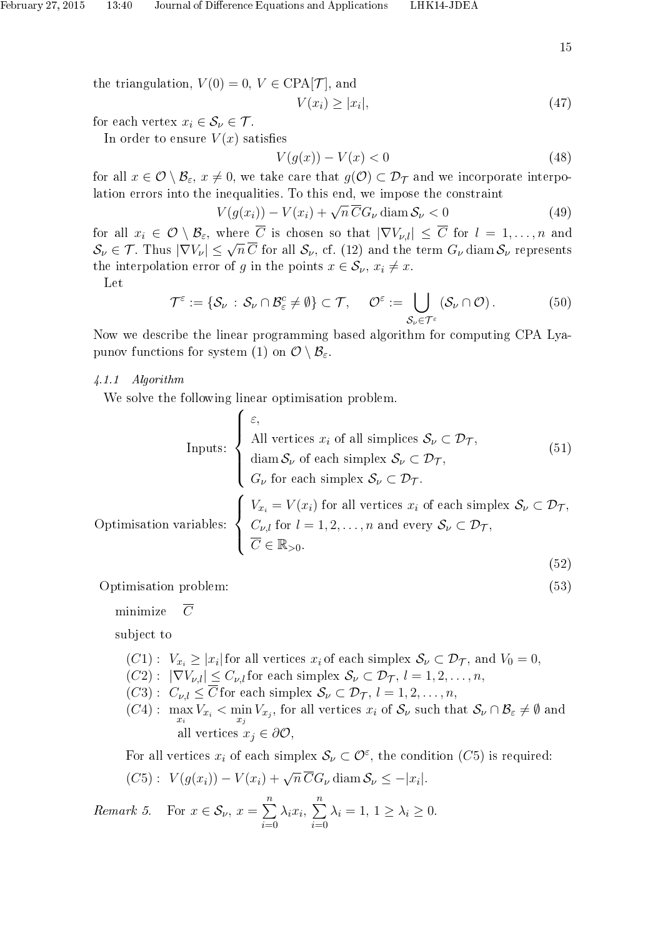the triangulation,  $V(0) = 0, V \in \text{CPA}[\mathcal{T}]$ , and

$$
V(x_i) \ge |x_i|,\tag{47}
$$

for each vertex  $x_i \in \mathcal{S}_{\nu} \in \mathcal{T}$ .

In order to ensure  $V(x)$  satisfies

$$
V(g(x)) - V(x) < 0 \tag{48}
$$

for all  $x \in \mathcal{O} \setminus \mathcal{B}_{\varepsilon}$ ,  $x \neq 0$ , we take care that  $g(\mathcal{O}) \subset \mathcal{D}_{\mathcal{T}}$  and we incorporate interpolation errors into the inequalities. To this end, we impose the constraint<br>  $V(g(x_i)) - V(x_i) + \sqrt{n} \overline{C} G_{\nu}$  diam  $S_{\nu} < 0$ 

$$
V(g(x_i)) - V(x_i) + \sqrt{n} \, \overline{C} G_\nu \, \text{diam} \, \mathcal{S}_\nu < 0 \tag{49}
$$

for all  $x_i \in \mathcal{O} \setminus \mathcal{B}_{\varepsilon}$ , where  $\overline{C}$  is chosen so that  $|\nabla V_{\nu,l}| \leq \overline{C}$  for  $l = 1,\ldots,n$  and  $S_{\nu} \in \mathcal{T}$ . Thus  $|\nabla V_{\nu}| \leq \sqrt{n} \overline{C}$  for all  $S_{\nu}$ , cf. (12) and the term  $G_{\nu}$  diam  $S_{\nu}$  represents the interpolation error of g in the points  $x \in \mathcal{S}_{\nu}$ ,  $x_i \neq x$ .

Let

$$
\mathcal{T}^{\varepsilon} := \{ \mathcal{S}_{\nu} : \mathcal{S}_{\nu} \cap \mathcal{B}_{\varepsilon}^{c} \neq \emptyset \} \subset \mathcal{T}, \quad \mathcal{O}^{\varepsilon} := \bigcup_{\mathcal{S}_{\nu} \in \mathcal{T}^{\varepsilon}} (\mathcal{S}_{\nu} \cap \mathcal{O}). \tag{50}
$$

Now we describe the linear programming based algorithm for computing CPA Lyapunov functions for system (1) on  $\mathcal{O} \setminus \mathcal{B}_{\varepsilon}$ .

#### 4.1.1 Algorithm

We solve the following linear optimisation problem.

$$
\begin{cases}\n\varepsilon, \\
\text{All vertices } x_i \text{ of all simplices } \mathcal{S}_{\nu} \subset \mathcal{D}_{\mathcal{T}}, \\
\text{diam } \mathcal{S}_{\nu} \text{ of each simplex } \mathcal{S}_{\nu} \subset \mathcal{D}_{\mathcal{T}}, \\
G_{\nu} \text{ for each simplex } \mathcal{S}_{\nu} \subset \mathcal{D}_{\mathcal{T}}.\n\end{cases}
$$
\nOptimisation variables:

\n
$$
\begin{cases}\nV_{x_i} = V(x_i) \text{ for all vertices } x_i \text{ of each simplex } \mathcal{S}_{\nu} \subset \mathcal{D}_{\mathcal{T}}, \\
\frac{C_{\nu,l} \text{ for } l = 1, 2, \dots, n \text{ and every } \mathcal{S}_{\nu} \subset \mathcal{D}_{\mathcal{T}}, \\
\overline{C} \in \mathbb{R}_{>0}.\n\end{cases}
$$
\n(52)

Optimisation problem: (53)

minimize  $\overline{C}$ 

subject to

- $(C1): V_{x_i} \geq |x_i|$  for all vertices  $x_i$  of each simplex  $S_\nu \subset \mathcal{D}_{\mathcal{T}}$ , and  $V_0 = 0$ ,
- $(C2)$ :  $|\nabla V_{\nu,l}| \leq C_{\nu,l}$  for each simplex  $\mathcal{S}_{\nu} \subset \mathcal{D}_{\mathcal{T}}, l = 1, 2, ..., n$ ,
- $(C3): C_{\nu,l} \leq \overline{C}$  for each simplex  $\mathcal{S}_{\nu} \subset \mathcal{D}_{\mathcal{T}}, l = 1, 2, \ldots, n$ ,
- $(C4): \max_{x_i} V_{x_i} < \min_{x_j} V_{x_j}$ , for all vertices  $x_i$  of  $\mathcal{S}_{\nu}$  such that  $\mathcal{S}_{\nu} \cap \mathcal{B}_{\varepsilon} \neq \emptyset$  and all vertices  $x_i \in \partial \mathcal{O}$ ,

For all vertices  $x_i$  of each simplex  $\mathcal{S}_{\nu} \subset \mathcal{O}^{\varepsilon}$ , the condition  $(C5)$  is required:

$$
(C5): V(g(x_i)) - V(x_i) + \sqrt{n} \overline{C}G_{\nu} \operatorname{diam} S_{\nu} \le -|x_i|.
$$

Remark 5. For  $x \in S_{\nu}$ ,  $x = \sum_{n=1}^{\infty}$  $i=0$  $\lambda_i x_i, \sum^n$  $i=0$  $\lambda_i = 1, 1 \geq \lambda_i \geq 0.$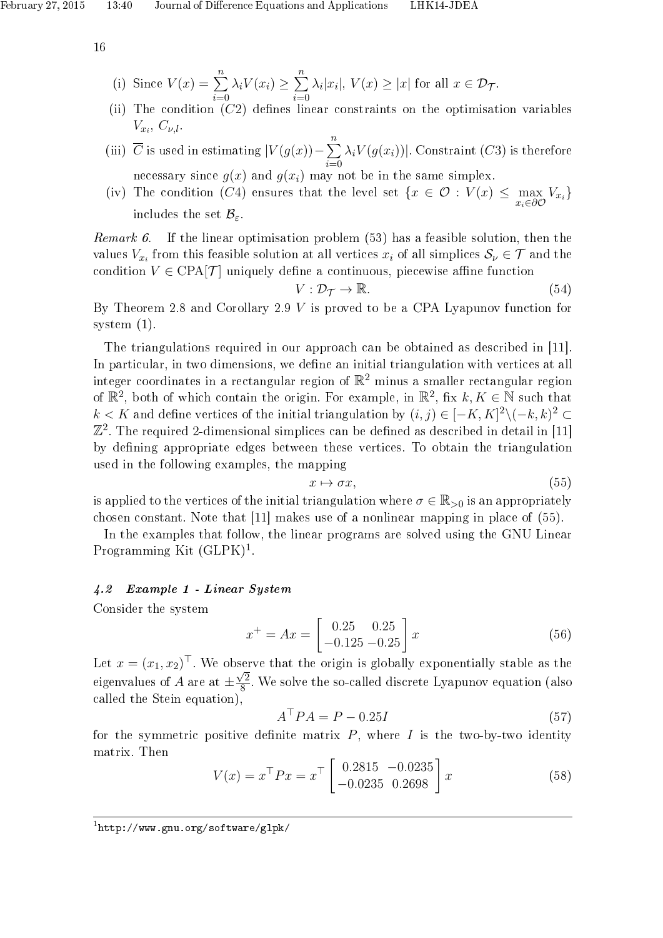(i) Since 
$$
V(x) = \sum_{i=0}^{n} \lambda_i V(x_i) \ge \sum_{i=0}^{n} \lambda_i |x_i|, V(x) \ge |x|
$$
 for all  $x \in \mathcal{D}_{\mathcal{T}}$ .  
(ii) The condition (C3) defines linear constraints on the antimizat

- (ii) The condition  $(C2)$  defines linear constraints on the optimisation variables  $V_{x_i}, C_{\nu,l}.$
- (iii)  $\overline{C}$  is used in estimating  $|V(g(x)) \sum_{n=1}^{\infty}$  $i=0$  $\lambda_i V(g(x_i))$ . Constraint  $(C3)$  is therefore necessary since  $g(x)$  and  $g(x_i)$  may not be in the same simplex.
- (iv) The condition (C4) ensures that the level set  $\{x \in \mathcal{O} : V(x) \leq \max_{x_i \in \partial \mathcal{O}} V_{x_i}\}\$ includes the set  $\mathcal{B}_{\varepsilon}$ .

*Remark 6.* If the linear optimisation problem  $(53)$  has a feasible solution, then the values  $V_{x_i}$  from this feasible solution at all vertices  $x_i$  of all simplices  $S_\nu \in \mathcal{T}$  and the condition  $V \in \text{CPA}[\mathcal{T}]$  uniquely define a continuous, piecewise affine function

$$
V: \mathcal{D}_{\mathcal{T}} \to \mathbb{R}.\tag{54}
$$

By Theorem 2.8 and Corollary 2.9 V is proved to be a CPA Lyapunov function for system (1).

The triangulations required in our approach can be obtained as described in [11]. In particular, in two dimensions, we define an initial triangulation with vertices at all integer coordinates in a rectangular region of  $\mathbb{R}^2$  minus a smaller rectangular region of  $\mathbb{R}^2$ , both of which contain the origin. For example, in  $\mathbb{R}^2$ , fix  $k, K \in \mathbb{N}$  such that  $k < K$  and define vertices of the initial triangulation by  $(i, j) \in [-K, K]^2 \setminus (-k, k)^2$  $\mathbb{Z}^2$ . The required 2-dimensional simplices can be defined as described in detail in [11] by dening appropriate edges between these vertices. To obtain the triangulation used in the following examples, the mapping

$$
x \mapsto \sigma x,\tag{55}
$$

is applied to the vertices of the initial triangulation where  $\sigma \in \mathbb{R}_{>0}$  is an appropriately chosen constant. Note that [11] makes use of a nonlinear mapping in place of (55).

In the examples that follow, the linear programs are solved using the GNU Linear Programming Kit  $(GLPK)^1$ .

## 4.2 Example 1 - Linear System

Consider the system

$$
x^{+} = Ax = \begin{bmatrix} 0.25 & 0.25 \\ -0.125 & -0.25 \end{bmatrix} x
$$
 (56)

Let  $x = (x_1, x_2)^\top$ . We observe that the origin is globally exponentially stable as the eigenvalues of  $A$  are at  $\pm$  $\sqrt{2}$  $\frac{1}{8}$ . We solve the so-called discrete Lyapunov equation (also called the Stein equation),

$$
A^{\top}PA = P - 0.25I
$$
\n<sup>(57)</sup>

for the symmetric positive definite matrix  $P$ , where  $I$  is the two-by-two identity matrix. Then

$$
V(x) = x^{\top} P x = x^{\top} \begin{bmatrix} 0.2815 & -0.0235 \\ -0.0235 & 0.2698 \end{bmatrix} x
$$
 (58)

1 http://www.gnu.org/software/glpk/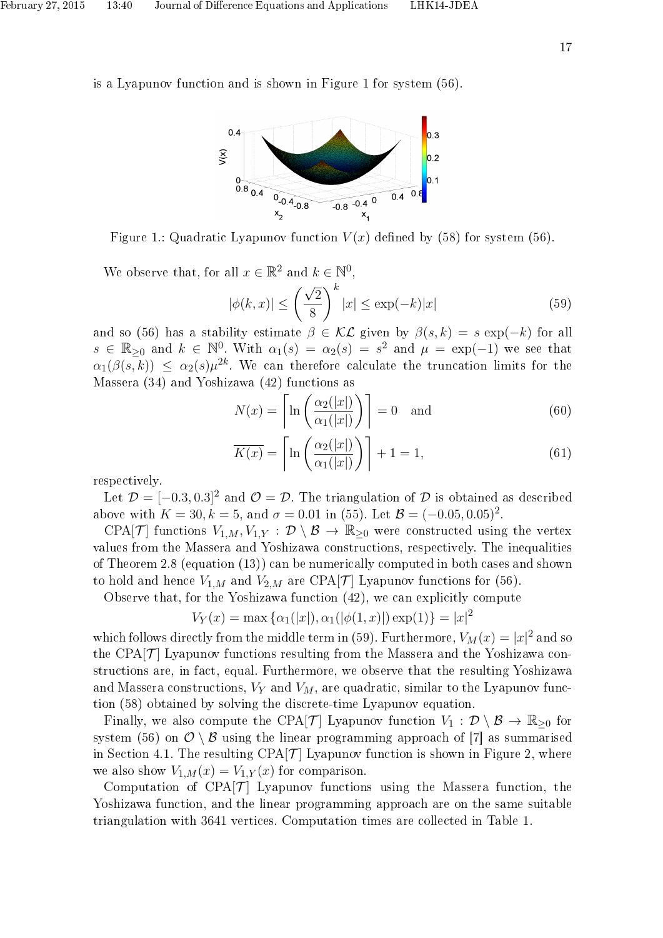is a Lyapunov function and is shown in Figure 1 for system (56).



Figure 1.: Quadratic Lyapunov function  $V(x)$  defined by (58) for system (56).

We observe that, for all  $x \in \mathbb{R}^2$  and  $k \in \mathbb{N}^0$ ,

$$
|\phi(k,x)| \le \left(\frac{\sqrt{2}}{8}\right)^k |x| \le \exp(-k)|x| \tag{59}
$$

and so (56) has a stability estimate  $\beta \in \mathcal{KL}$  given by  $\beta(s,k) = s \exp(-k)$  for all  $s \in \mathbb{R}_{\geq 0}$  and  $k \in \mathbb{N}^0$ . With  $\alpha_1(s) = \alpha_2(s) = s^2$  and  $\mu = \exp(-1)$  we see that  $\alpha_1(\beta(s,k)) \leq \alpha_2(s)\mu^{2k}$ . We can therefore calculate the truncation limits for the Massera (34) and Yoshizawa (42) functions as

$$
N(x) = \left[ \ln \left( \frac{\alpha_2(|x|)}{\alpha_1(|x|)} \right) \right] = 0 \text{ and } (60)
$$

$$
\overline{K(x)} = \left[ \ln \left( \frac{\alpha_2(|x|)}{\alpha_1(|x|)} \right) \right] + 1 = 1,\tag{61}
$$

respectively.

Let  $\mathcal{D} = [-0.3, 0.3]^2$  and  $\mathcal{O} = \mathcal{D}$ . The triangulation of  $\mathcal D$  is obtained as described above with  $K = 30, k = 5$ , and  $\sigma = 0.01$  in (55). Let  $\mathcal{B} = (-0.05, 0.05)^2$ .

CPA[T] functions  $V_{1,M}$ ,  $V_{1,Y}$ :  $\mathcal{D} \setminus \mathcal{B} \to \mathbb{R}_{\geq 0}$  were constructed using the vertex values from the Massera and Yoshizawa constructions, respectively. The inequalities of Theorem 2.8 (equation (13)) can be numerically computed in both cases and shown to hold and hence  $V_{1,M}$  and  $V_{2,M}$  are CPA[T] Lyapunov functions for (56).

Observe that, for the Yoshizawa function (42), we can explicitly compute

 $V_Y(x) = \max \{ \alpha_1(|x|), \alpha_1(|\phi(1,x)|) \exp(1) \} = |x|^2$ 

which follows directly from the middle term in (59). Furthermore,  $V_M(x) = |x|^2$  and so the CPA $\mathcal{T}$  Lyapunov functions resulting from the Massera and the Yoshizawa constructions are, in fact, equal. Furthermore, we observe that the resulting Yoshizawa and Massera constructions,  $V_Y$  and  $V_M$ , are quadratic, similar to the Lyapunov function (58) obtained by solving the discrete-time Lyapunov equation.

Finally, we also compute the CPA[T] Lyapunov function  $V_1 : \mathcal{D} \setminus \mathcal{B} \to \mathbb{R}_{\geq 0}$  for system (56) on  $\mathcal{O}\setminus\mathcal{B}$  using the linear programming approach of [7] as summarised in Section 4.1. The resulting CPA $\mathcal{T}$  Lyapunov function is shown in Figure 2, where we also show  $V_{1,M}(x) = V_{1,Y}(x)$  for comparison.

Computation of CPA $[\mathcal{T}]$  Lyapunov functions using the Massera function, the Yoshizawa function, and the linear programming approach are on the same suitable triangulation with 3641 vertices. Computation times are collected in Table 1.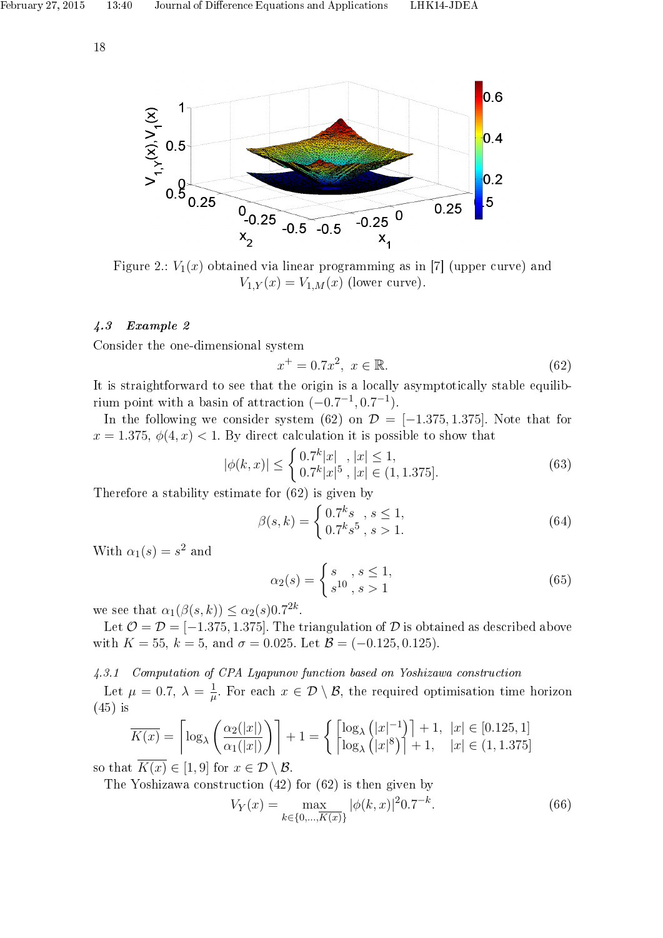

Figure 2.:  $V_1(x)$  obtained via linear programming as in [7] (upper curve) and  $V_{1,Y}(x) = V_{1,M}(x)$  (lower curve).

# 4.3 Example 2

Consider the one-dimensional system

$$
x^{+} = 0.7x^{2}, \ x \in \mathbb{R}.
$$
 (62)

It is straightforward to see that the origin is a locally asymptotically stable equilibrium point with a basin of attraction  $(-0.7^{-1}, 0.7^{-1})$ .

In the following we consider system (62) on  $\mathcal{D} = [-1.375, 1.375]$ . Note that for  $x = 1.375, \phi(4, x) < 1$ . By direct calculation it is possible to show that

$$
|\phi(k,x)| \le \begin{cases} 0.7^k |x|, \ |x| \le 1, \\ 0.7^k |x|^5, \ |x| \in (1, 1.375]. \end{cases}
$$
(63)

Therefore a stability estimate for (62) is given by

$$
\beta(s,k) = \begin{cases} 0.7^k s & , s \le 1, \\ 0.7^k s^5 & , s > 1. \end{cases}
$$
 (64)

With  $\alpha_1(s) = s^2$  and

$$
\alpha_2(s) = \begin{cases} s, & s \le 1, \\ s^{10}, & s > 1 \end{cases}
$$
 (65)

we see that  $\alpha_1(\beta(s,k)) \leq \alpha_2(s) 0.7^{2k}$ .

Let  $\mathcal{O} = \mathcal{D} = [-1.375, 1.375]$ . The triangulation of  $\mathcal D$  is obtained as described above with  $K = 55$ ,  $k = 5$ , and  $\sigma = 0.025$ . Let  $\mathcal{B} = (-0.125, 0.125)$ .

#### 4.3.1 Computation of CPA Lyapunov function based on Yoshizawa construction

Let  $\mu = 0.7, \lambda = \frac{1}{\mu}$  $\frac{1}{\mu}$ . For each  $x \in \mathcal{D} \setminus \mathcal{B}$ , the required optimisation time horizon (45) is

$$
\overline{K(x)} = \left\lceil \log_{\lambda} \left( \frac{\alpha_2(|x|)}{\alpha_1(|x|)} \right) \right\rceil + 1 = \left\{ \left\lceil \log_{\lambda} \left( |x|^{-1} \right) \right\rceil + 1, \ |x| \in [0.125, 1] \right\}
$$
\n
$$
\overline{K(x)} = \left\{ \log_{\lambda} \left( |x|^8 \right) \right\} + 1, \ |x| \in (1, 1.375]
$$

so that  $K(x) \in [1, 9]$  for  $x \in \mathcal{D} \setminus \mathcal{B}$ .

The Yoshizawa construction (42) for (62) is then given by

$$
V_Y(x) = \max_{k \in \{0, \dots, K(x)\}} |\phi(k, x)|^2 0.7^{-k}.
$$
 (66)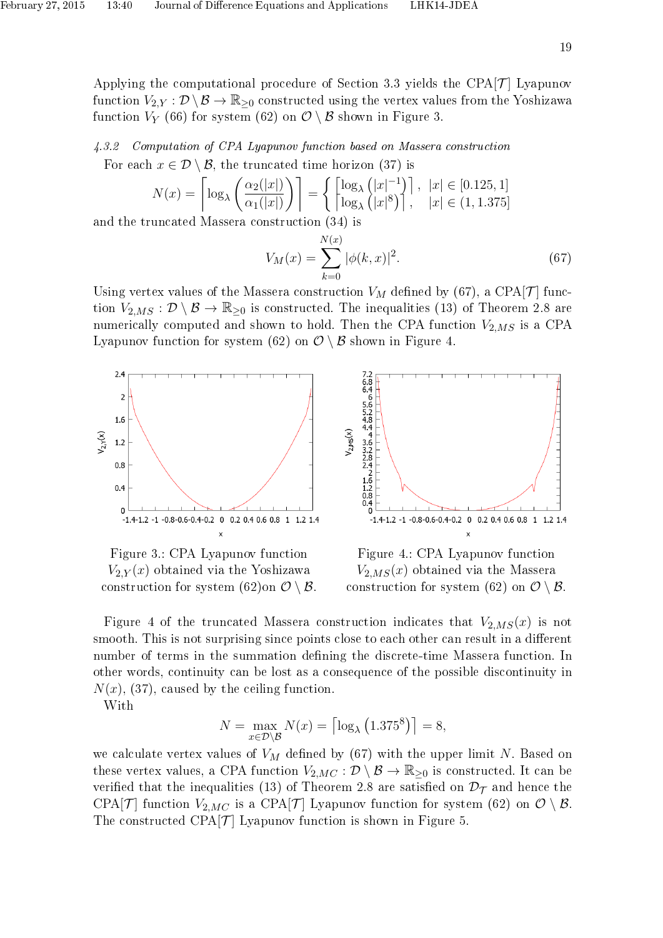4.3.2 Computation of CPA Lyapunov function based on Massera construction For each  $x \in \mathcal{D} \setminus \mathcal{B}$ , the truncated time horizon (37) is

$$
N(x) = \left\lceil \log_{\lambda} \left( \frac{\alpha_2(|x|)}{\alpha_1(|x|)} \right) \right\rceil = \left\{ \left\lceil \log_{\lambda} \left( |x|^{-1} \right) \right\rceil, \ |x| \in [0.125, 1] \right\}
$$
  
uncated Massera construction (34) is

and the truncated Massera construction (34) is

$$
V_M(x) = \sum_{k=0}^{N(x)} |\phi(k, x)|^2.
$$
 (67)

Using vertex values of the Massera construction  $V_M$  defined by (67), a CPA[T] function  $V_{2,MS} : \mathcal{D} \setminus \mathcal{B} \to \mathbb{R}_{\geq 0}$  is constructed. The inequalities (13) of Theorem 2.8 are numerically computed and shown to hold. Then the CPA function  $V_{2,MS}$  is a CPA Lyapunov function for system (62) on  $\mathcal{O}\setminus\mathcal{B}$  shown in Figure 4.



Figure 3.: CPA Lyapunov function  $V_{2,Y}(x)$  obtained via the Yoshizawa construction for system  $(62)$ on  $\mathcal{O} \setminus \mathcal{B}$ .



Figure 4.: CPA Lyapunov function  $V_{2,MS}(x)$  obtained via the Massera construction for system (62) on  $\mathcal{O} \setminus \mathcal{B}$ .

Figure 4 of the truncated Massera construction indicates that  $V_{2,MS}(x)$  is not smooth. This is not surprising since points close to each other can result in a different number of terms in the summation defining the discrete-time Massera function. In other words, continuity can be lost as a consequence of the possible discontinuity in  $N(x)$ , (37), caused by the ceiling function.

With

$$
N = \max_{x \in \mathcal{D} \setminus \mathcal{B}} N(x) = \left\lceil \log_{\lambda} \left( 1.375^8 \right) \right\rceil = 8,
$$

we calculate vertex values of  $V_M$  defined by (67) with the upper limit N. Based on these vertex values, a CPA function  $V_{2,MC} : \mathcal{D} \setminus \mathcal{B} \to \mathbb{R}_{\geq 0}$  is constructed. It can be verified that the inequalities (13) of Theorem 2.8 are satisfied on  $\mathcal{D}_{\mathcal{T}}$  and hence the CPA[T] function  $V_{2MC}$  is a CPA[T] Lyapunov function for system (62) on  $\mathcal{O} \setminus \mathcal{B}$ . The constructed CPA $[\mathcal{T}]$  Lyapunov function is shown in Figure 5.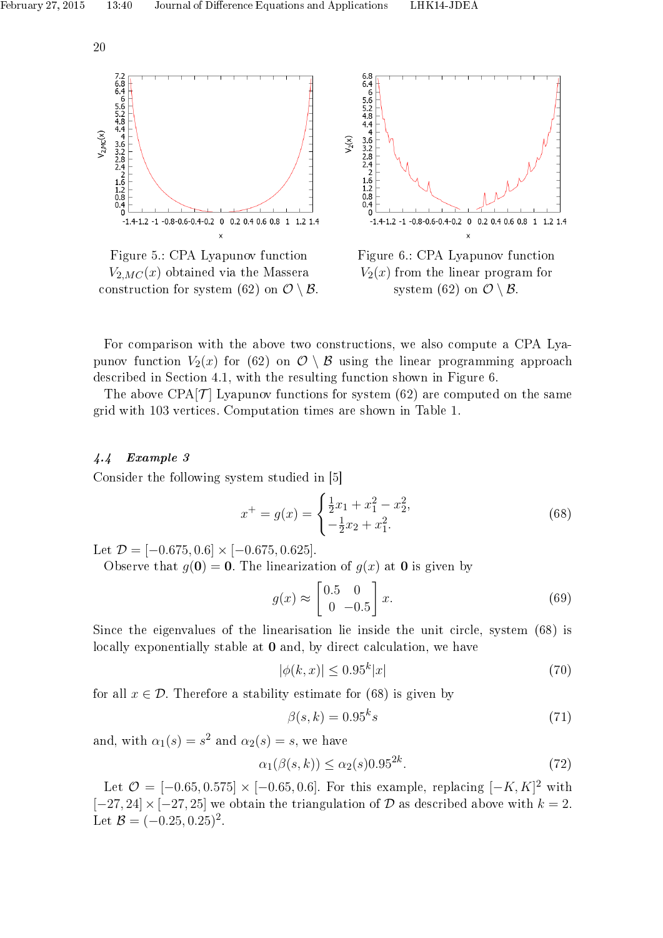

Figure 5.: CPA Lyapunov function  $V_{2MC}(x)$  obtained via the Massera construction for system (62) on  $\mathcal{O} \setminus \mathcal{B}$ .



Figure 6.: CPA Lyapunov function  $V_2(x)$  from the linear program for system (62) on  $\mathcal{O}\setminus\mathcal{B}$ .

For comparison with the above two constructions, we also compute a CPA Lyapunov function  $V_2(x)$  for (62) on  $\mathcal{O} \setminus \mathcal{B}$  using the linear programming approach described in Section 4.1, with the resulting function shown in Figure 6.

The above  $CPA[\mathcal{T}]$  Lyapunov functions for system (62) are computed on the same grid with 103 vertices. Computation times are shown in Table 1.

## 4.4 Example 3

Consider the following system studied in [5]

$$
x^{+} = g(x) = \begin{cases} \frac{1}{2}x_1 + x_1^2 - x_2^2, \\ -\frac{1}{2}x_2 + x_1^2. \end{cases}
$$
(68)

Let  $\mathcal{D} = [-0.675, 0.6] \times [-0.675, 0.625]$ .

Observe that  $q(0) = 0$ . The linearization of  $q(x)$  at 0 is given by

$$
g(x) \approx \begin{bmatrix} 0.5 & 0 \\ 0 & -0.5 \end{bmatrix} x.
$$
 (69)

Since the eigenvalues of the linearisation lie inside the unit circle, system (68) is locally exponentially stable at **0** and, by direct calculation, we have

$$
|\phi(k,x)| \le 0.95^k|x| \tag{70}
$$

for all  $x \in \mathcal{D}$ . Therefore a stability estimate for (68) is given by

$$
\beta(s,k) = 0.95^k s \tag{71}
$$

and, with  $\alpha_1(s) = s^2$  and  $\alpha_2(s) = s$ , we have

$$
\alpha_1(\beta(s,k)) \le \alpha_2(s) 0.95^{2k}.\tag{72}
$$

Let  $\mathcal{O} = [-0.65, 0.575] \times [-0.65, 0.6]$ . For this example, replacing  $[-K, K]^2$  with  $[-27, 24] \times [-27, 25]$  we obtain the triangulation of D as described above with  $k = 2$ . Let  $B = (-0.25, 0.25)^2$ .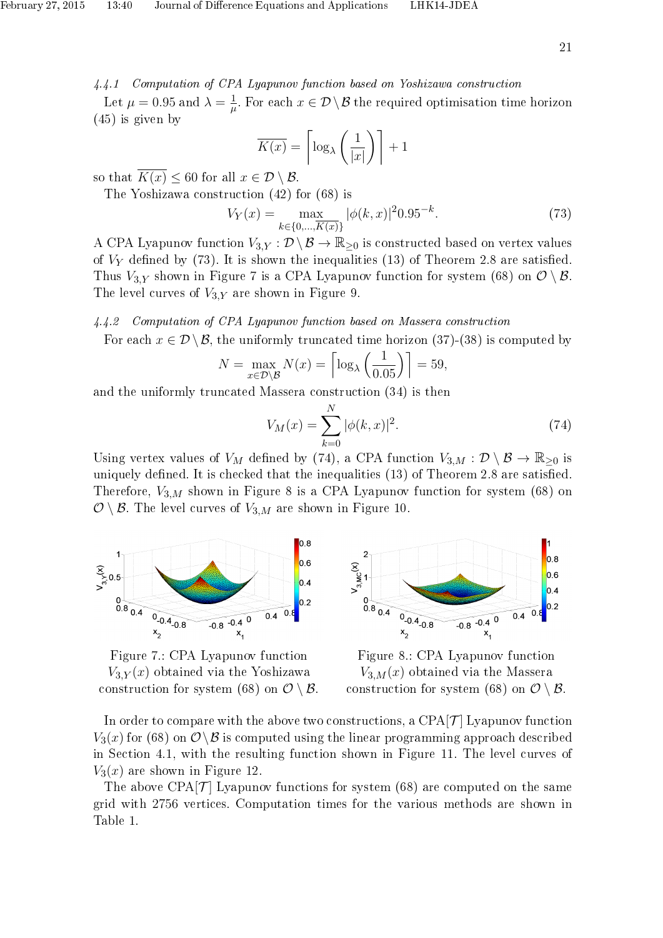4.4.1 Computation of CPA Lyapunov function based on Yoshizawa construction

Let  $\mu = 0.95$  and  $\lambda = \frac{1}{\mu}$  $\frac{1}{\mu}$ . For each  $x \in \mathcal{D} \setminus \mathcal{B}$  the required optimisation time horizon (45) is given by

$$
\overline{K(x)} = \left\lceil \log_{\lambda} \left( \frac{1}{|x|} \right) \right\rceil + 1
$$

so that  $\overline{K(x)} \leq 60$  for all  $x \in \mathcal{D} \setminus \mathcal{B}$ .

The Yoshizawa construction (42) for (68) is

$$
V_Y(x) = \max_{k \in \{0, \dots, \overline{K(x)}\}} |\phi(k, x)|^2 0.95^{-k}.
$$
 (73)

A CPA Lyapunov function  $V_{3,Y} : \mathcal{D} \backslash \mathcal{B} \to \mathbb{R}_{\geq 0}$  is constructed based on vertex values of  $V_Y$  defined by (73). It is shown the inequalities (13) of Theorem 2.8 are satisfied. Thus  $V_{3,Y}$  shown in Figure 7 is a CPA Lyapunov function for system (68) on  $\mathcal{O}\setminus\mathcal{B}$ . The level curves of  $V_{3,Y}$  are shown in Figure 9.

#### 4.4.2 Computation of CPA Lyapunov function based on Massera construction

For each  $x \in \mathcal{D} \setminus \mathcal{B}$ , the uniformly truncated time horizon (37)-(38) is computed by

$$
N = \max_{x \in \mathcal{D} \setminus \mathcal{B}} N(x) = \left\lceil \log_{\lambda} \left( \frac{1}{0.05} \right) \right\rceil = 59,
$$

and the uniformly truncated Massera construction (34) is then

$$
V_M(x) = \sum_{k=0}^{N} |\phi(k, x)|^2.
$$
 (74)

Using vertex values of  $V_M$  defined by (74), a CPA function  $V_{3,M} : \mathcal{D} \setminus \mathcal{B} \to \mathbb{R}_{\geq 0}$  is uniquely defined. It is checked that the inequalities  $(13)$  of Theorem 2.8 are satisfied. Therefore,  $V_{3,M}$  shown in Figure 8 is a CPA Lyapunov function for system (68) on  $\mathcal{O}\setminus\mathcal{B}$ . The level curves of  $V_{3,M}$  are shown in Figure 10.



Figure 7.: CPA Lyapunov function  $V_{3,Y}(x)$  obtained via the Yoshizawa construction for system (68) on  $\mathcal{O} \setminus \mathcal{B}$ .



Figure 8.: CPA Lyapunov function  $V_{3,M}(x)$  obtained via the Massera construction for system (68) on  $\mathcal{O} \setminus \mathcal{B}$ .

In order to compare with the above two constructions, a  $CPA[\mathcal{T}]$  Lyapunov function  $V_3(x)$  for (68) on  $\mathcal{O}\setminus\mathcal{B}$  is computed using the linear programming approach described in Section 4.1, with the resulting function shown in Figure 11. The level curves of  $V_3(x)$  are shown in Figure 12.

The above  $CPA[\mathcal{T}]$  Lyapunov functions for system (68) are computed on the same grid with 2756 vertices. Computation times for the various methods are shown in Table 1.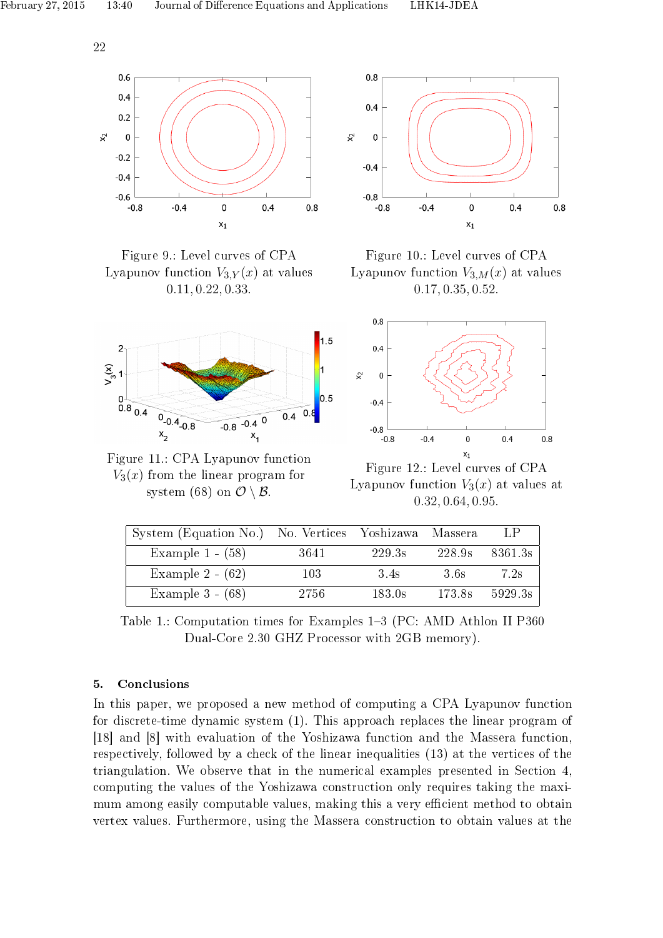





Figure 11.: CPA Lyapunov function  $V_3(x)$  from the linear program for system (68) on  $\mathcal{O}\setminus\mathcal{B}$ .



Figure 10.: Level curves of CPA Lyapunov function  $V_{3,M}(x)$  at values 0.17, 0.35, 0.52.



Figure 12.: Level curves of CPA Lyapunov function  $V_3(x)$  at values at 0.32, 0.64, 0.95.

| System (Equation No.) No. Vertices Yoshizawa Massera |       |        |        | LP.            |
|------------------------------------------------------|-------|--------|--------|----------------|
| Example $1 - (58)$                                   | -3641 | 229.3s |        | 228.9s 8361.3s |
| Example $2 - (62)$                                   | 103   | 3.4s   | 36s    | 7 2s           |
| Example $3 - (68)$                                   | 2756  | 183.0s | 173.8s | 5929.3s        |

Table 1.: Computation times for Examples 1-3 (PC: AMD Athlon II P360 Dual-Core 2.30 GHZ Processor with 2GB memory).

# 5. Conclusions

In this paper, we proposed a new method of computing a CPA Lyapunov function for discrete-time dynamic system (1). This approach replaces the linear program of [18] and [8] with evaluation of the Yoshizawa function and the Massera function, respectively, followed by a check of the linear inequalities (13) at the vertices of the triangulation. We observe that in the numerical examples presented in Section 4, computing the values of the Yoshizawa construction only requires taking the maximum among easily computable values, making this a very efficient method to obtain vertex values. Furthermore, using the Massera construction to obtain values at the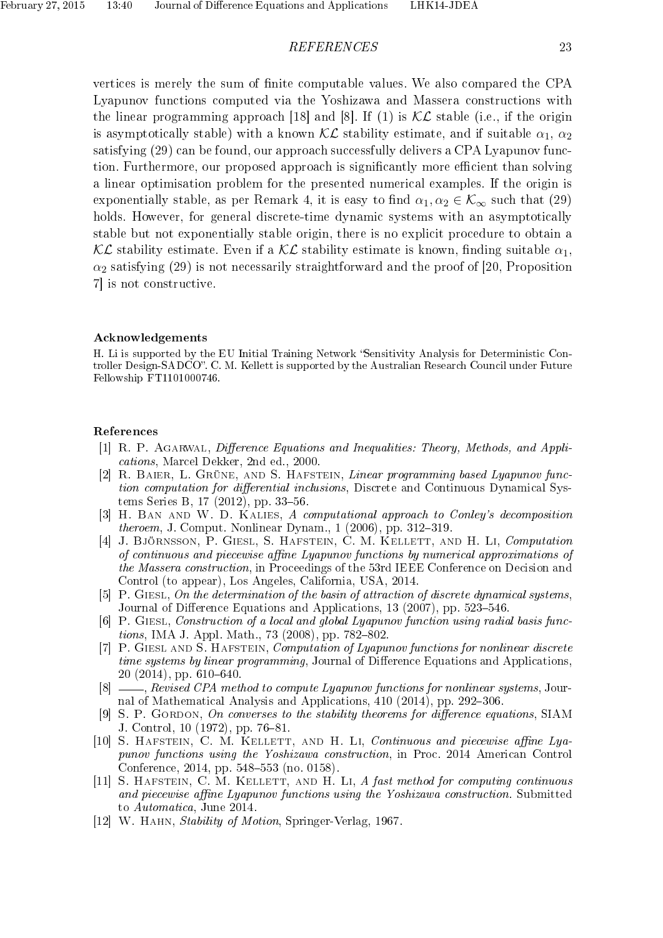#### REFERENCES 23

vertices is merely the sum of finite computable values. We also compared the CPA Lyapunov functions computed via the Yoshizawa and Massera constructions with the linear programming approach [18] and [8]. If (1) is  $\mathcal{KL}$  stable (i.e., if the origin is asymptotically stable) with a known  $\mathcal{KL}$  stability estimate, and if suitable  $\alpha_1$ ,  $\alpha_2$ satisfying (29) can be found, our approach successfully delivers a CPA Lyapunov function. Furthermore, our proposed approach is significantly more efficient than solving a linear optimisation problem for the presented numerical examples. If the origin is exponentially stable, as per Remark 4, it is easy to find  $\alpha_1, \alpha_2 \in \mathcal{K}_{\infty}$  such that (29) holds. However, for general discrete-time dynamic systems with an asymptotically stable but not exponentially stable origin, there is no explicit procedure to obtain a KL stability estimate. Even if a KL stability estimate is known, finding suitable  $\alpha_1$ ,  $\alpha_2$  satisfying (29) is not necessarily straightforward and the proof of [20, Proposition 7] is not constructive.

#### Acknowledgements

H. Li is supported by the EU Initial Training Network "Sensitivity Analysis for Deterministic Controller Design-SADCO". C. M. Kellett is supported by the Australian Research Council under Future Fellowship FT1101000746.

#### References

- [1] R. P. AGARWAL, Difference Equations and Inequalities: Theory, Methods, and Applications, Marcel Dekker, 2nd ed., 2000.
- [2] R. Baier, L. Grüne, and S. Hafstein, Linear programming based Lyapunov function computation for differential inclusions, Discrete and Continuous Dynamical Systems Series B,  $17$  (2012), pp. 33–56.
- [3] H. Ban and W. D. Kalies, A computational approach to Conley's decomposition *theroem*, J. Comput. Nonlinear Dynam.,  $1$   $(2006)$ , pp.  $312-319$ .
- [4] J. BJÖRNSSON, P. GIESL, S. HAFSTEIN, C. M. KELLETT, AND H. LI, Computation of continuous and piecewise affine Lyapunov functions by numerical approximations of the Massera construction, in Proceedings of the 53rd IEEE Conference on Decision and Control (to appear), Los Angeles, California, USA, 2014.
- [5] P. Giesl, On the determination of the basin of attraction of discrete dynamical systems, Journal of Difference Equations and Applications, 13 (2007), pp. 523–546.
- [6] P. Giesl, Construction of a local and global Lyapunov function using radial basis func*tions*, IMA J. Appl. Math., 73  $(2008)$ , pp. 782–802.
- [7] P. GIESL AND S. HAFSTEIN, Computation of Lyapunov functions for nonlinear discrete time systems by linear programming, Journal of Difference Equations and Applications,  $20(2014)$ , pp. 610-640.
- [8]  $\Box$ , Revised CPA method to compute Lyapunov functions for nonlinear systems, Journal of Mathematical Analysis and Applications,  $410$  (2014), pp. 292-306.
- [9] S. P. GORDON, On converses to the stability theorems for difference equations, SIAM J. Control,  $10(1972)$ , pp. 76-81.
- [10] S. HAFSTEIN, C. M. KELLETT, AND H. LI, Continuous and piecewise affine Lyapunov functions using the Yoshizawa construction, in Proc. 2014 American Control Conference, 2014, pp. 548–553 (no. 0158).
- [11] S. HAFSTEIN, C. M. KELLETT, AND H. LI, A fast method for computing continuous and piecewise affine Lyapunov functions using the Yoshizawa construction. Submitted to Automatica, June 2014.
- [12] W. HAHN, *Stability of Motion*, Springer-Verlag, 1967.